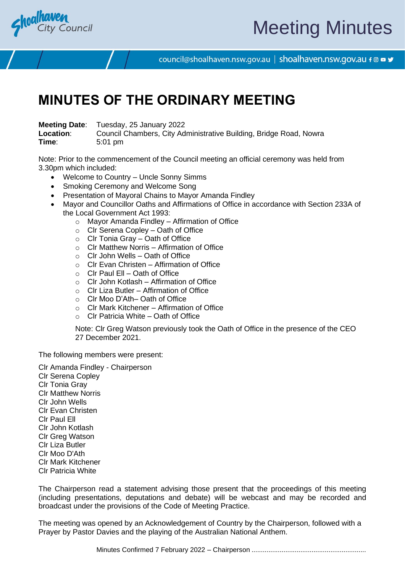

# Meeting Minutes

council@shoalhaven.nsw.gov.au | shoalhaven.nsw.gov.au f @ ■ y

# **MINUTES OF THE ORDINARY MEETING**

**Meeting Date**: Tuesday, 25 January 2022

**Location:** Council Chambers, City Administrative Building, Bridge Road, Nowra **Time**: 5:01 pm

Note: Prior to the commencement of the Council meeting an official ceremony was held from 3.30pm which included:

- Welcome to Country Uncle Sonny Simms
- Smoking Ceremony and Welcome Song
- Presentation of Mayoral Chains to Mayor Amanda Findley
- Mayor and Councillor Oaths and Affirmations of Office in accordance with Section 233A of the Local Government Act 1993:
	- $\circ$  Mayor Amanda Findley Affirmation of Office
	- o Clr Serena Copley Oath of Office
	- $\circ$  Clr Tonia Gray Oath of Office
	- $\circ$  Clr Matthew Norris Affirmation of Office
	- $\circ$  Clr John Wells Oath of Office
	- o Clr Evan Christen Affirmation of Office
	- $\circ$  Clr Paul Ell Oath of Office
	- $\circ$  Clr John Kotlash Affirmation of Office
	- $\circ$  Clr Liza Butler Affirmation of Office
	- o Clr Moo D'Ath– Oath of Office
	- $\circ$  Clr Mark Kitchener Affirmation of Office
	- o Clr Patricia White Oath of Office

Note: Clr Greg Watson previously took the Oath of Office in the presence of the CEO 27 December 2021.

The following members were present:

Clr Amanda Findley - Chairperson Clr Serena Copley Clr Tonia Gray Clr Matthew Norris Clr John Wells Clr Evan Christen Clr Paul Ell Clr John Kotlash Clr Greg Watson Clr Liza Butler Clr Moo D'Ath Clr Mark Kitchener Clr Patricia White

The Chairperson read a statement advising those present that the proceedings of this meeting (including presentations, deputations and debate) will be webcast and may be recorded and broadcast under the provisions of the Code of Meeting Practice.

The meeting was opened by an Acknowledgement of Country by the Chairperson, followed with a Prayer by Pastor Davies and the playing of the Australian National Anthem.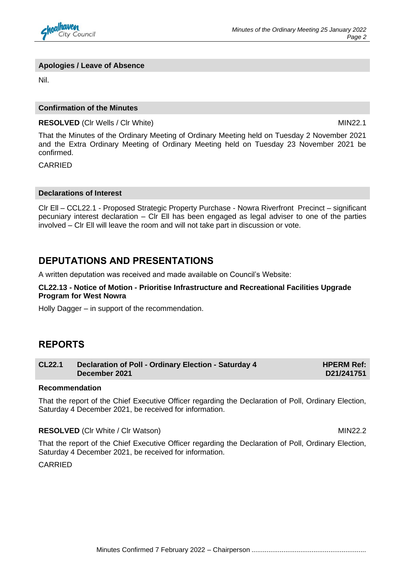

#### **Apologies / Leave of Absence**

Nil.

#### **Confirmation of the Minutes**

**RESOLVED** (Cir Wells / Cir White) MIN22.1

That the Minutes of the Ordinary Meeting of Ordinary Meeting held on Tuesday 2 November 2021 and the Extra Ordinary Meeting of Ordinary Meeting held on Tuesday 23 November 2021 be confirmed.

CARRIED

#### **Declarations of Interest**

Clr Ell – CCL22.1 - Proposed Strategic Property Purchase - Nowra Riverfront Precinct – significant pecuniary interest declaration – Clr Ell has been engaged as legal adviser to one of the parties involved – Clr Ell will leave the room and will not take part in discussion or vote.

# **DEPUTATIONS AND PRESENTATIONS**

A written deputation was received and made available on Council's Website:

**CL22.13 - Notice of Motion - Prioritise Infrastructure and Recreational Facilities Upgrade Program for West Nowra**

Holly Dagger – in support of the recommendation.

## **REPORTS**

| <b>CL22.1</b> | Declaration of Poll - Ordinary Election - Saturday 4 | <b>HPERM Ref:</b> |
|---------------|------------------------------------------------------|-------------------|
|               | December 2021                                        | D21/241751        |

#### **Recommendation**

That the report of the Chief Executive Officer regarding the Declaration of Poll, Ordinary Election, Saturday 4 December 2021, be received for information.

**RESOLVED** (Clr White / Clr Watson) MIN22.2

That the report of the Chief Executive Officer regarding the Declaration of Poll, Ordinary Election, Saturday 4 December 2021, be received for information.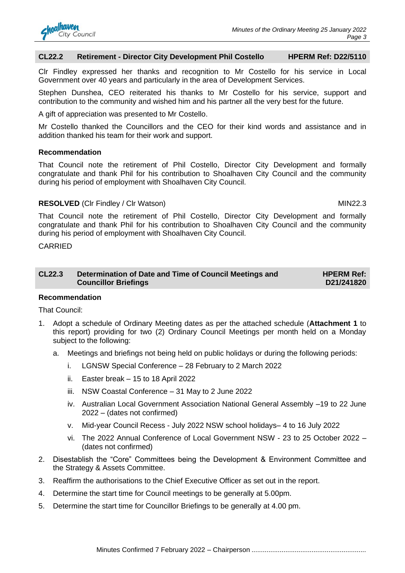

#### **CL22.2 Retirement - Director City Development Phil Costello HPERM Ref: D22/5110**

Clr Findley expressed her thanks and recognition to Mr Costello for his service in Local Government over 40 years and particularly in the area of Development Services.

Stephen Dunshea, CEO reiterated his thanks to Mr Costello for his service, support and contribution to the community and wished him and his partner all the very best for the future.

A gift of appreciation was presented to Mr Costello.

Mr Costello thanked the Councillors and the CEO for their kind words and assistance and in addition thanked his team for their work and support.

#### **Recommendation**

That Council note the retirement of Phil Costello, Director City Development and formally congratulate and thank Phil for his contribution to Shoalhaven City Council and the community during his period of employment with Shoalhaven City Council.

#### **RESOLVED** (CIr Findley / CIr Watson) MIN22.3

That Council note the retirement of Phil Costello, Director City Development and formally congratulate and thank Phil for his contribution to Shoalhaven City Council and the community during his period of employment with Shoalhaven City Council.

CARRIED

| <b>CL22.3</b> | Determination of Date and Time of Council Meetings and | <b>HPERM Ref:</b> |
|---------------|--------------------------------------------------------|-------------------|
|               | <b>Councillor Briefings</b>                            | D21/241820        |

#### **Recommendation**

That Council:

- 1. Adopt a schedule of Ordinary Meeting dates as per the attached schedule (**Attachment 1** to this report) providing for two (2) Ordinary Council Meetings per month held on a Monday subject to the following:
	- a. Meetings and briefings not being held on public holidays or during the following periods:
		- i. LGNSW Special Conference 28 February to 2 March 2022
		- ii. Easter break 15 to 18 April 2022
		- iii. NSW Coastal Conference 31 May to 2 June 2022
		- iv. Australian Local Government Association National General Assembly –19 to 22 June 2022 – (dates not confirmed)
		- v. Mid-year Council Recess July 2022 NSW school holidays– 4 to 16 July 2022
		- vi. The 2022 Annual Conference of Local Government NSW 23 to 25 October 2022 (dates not confirmed)
- 2. Disestablish the "Core" Committees being the Development & Environment Committee and the Strategy & Assets Committee.
- 3. Reaffirm the authorisations to the Chief Executive Officer as set out in the report.
- 4. Determine the start time for Council meetings to be generally at 5.00pm.
- 5. Determine the start time for Councillor Briefings to be generally at 4.00 pm.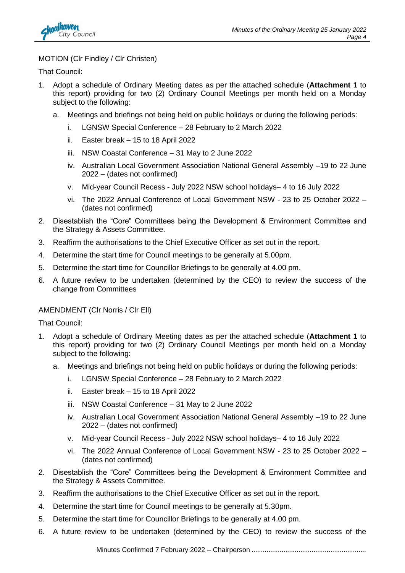

#### MOTION (Clr Findley / Clr Christen)

That Council:

- 1. Adopt a schedule of Ordinary Meeting dates as per the attached schedule (**Attachment 1** to this report) providing for two (2) Ordinary Council Meetings per month held on a Monday subject to the following:
	- a. Meetings and briefings not being held on public holidays or during the following periods:
		- i. LGNSW Special Conference 28 February to 2 March 2022
		- ii. Easter break 15 to 18 April 2022
		- iii. NSW Coastal Conference 31 May to 2 June 2022
		- iv. Australian Local Government Association National General Assembly –19 to 22 June 2022 – (dates not confirmed)
		- v. Mid-year Council Recess July 2022 NSW school holidays– 4 to 16 July 2022
		- vi. The 2022 Annual Conference of Local Government NSW 23 to 25 October 2022 (dates not confirmed)
- 2. Disestablish the "Core" Committees being the Development & Environment Committee and the Strategy & Assets Committee.
- 3. Reaffirm the authorisations to the Chief Executive Officer as set out in the report.
- 4. Determine the start time for Council meetings to be generally at 5.00pm.
- 5. Determine the start time for Councillor Briefings to be generally at 4.00 pm.
- 6. A future review to be undertaken (determined by the CEO) to review the success of the change from Committees

#### AMENDMENT (Clr Norris / Clr Ell)

That Council:

- 1. Adopt a schedule of Ordinary Meeting dates as per the attached schedule (**Attachment 1** to this report) providing for two (2) Ordinary Council Meetings per month held on a Monday subject to the following:
	- a. Meetings and briefings not being held on public holidays or during the following periods:
		- i. LGNSW Special Conference 28 February to 2 March 2022
		- ii. Easter break 15 to 18 April 2022
		- iii. NSW Coastal Conference 31 May to 2 June 2022
		- iv. Australian Local Government Association National General Assembly –19 to 22 June 2022 – (dates not confirmed)
		- v. Mid-year Council Recess July 2022 NSW school holidays– 4 to 16 July 2022
		- vi. The 2022 Annual Conference of Local Government NSW 23 to 25 October 2022 (dates not confirmed)
- 2. Disestablish the "Core" Committees being the Development & Environment Committee and the Strategy & Assets Committee.
- 3. Reaffirm the authorisations to the Chief Executive Officer as set out in the report.
- 4. Determine the start time for Council meetings to be generally at 5.30pm.
- 5. Determine the start time for Councillor Briefings to be generally at 4.00 pm.
- 6. A future review to be undertaken (determined by the CEO) to review the success of the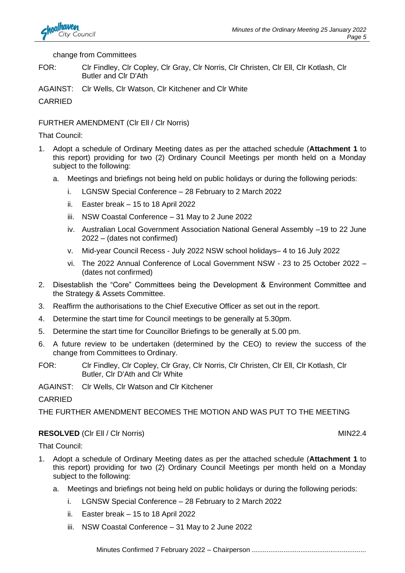

#### change from Committees

- FOR: Clr Findley, Clr Copley, Clr Gray, Clr Norris, Clr Christen, Clr Ell, Clr Kotlash, Clr Butler and Clr D'Ath
- AGAINST: Clr Wells, Clr Watson, Clr Kitchener and Clr White

CARRIED

#### FURTHER AMENDMENT (Clr Ell / Clr Norris)

That Council:

- 1. Adopt a schedule of Ordinary Meeting dates as per the attached schedule (**Attachment 1** to this report) providing for two (2) Ordinary Council Meetings per month held on a Monday subject to the following:
	- a. Meetings and briefings not being held on public holidays or during the following periods:
		- i. LGNSW Special Conference 28 February to 2 March 2022
		- ii. Easter break 15 to 18 April 2022
		- iii. NSW Coastal Conference 31 May to 2 June 2022
		- iv. Australian Local Government Association National General Assembly –19 to 22 June 2022 – (dates not confirmed)
		- v. Mid-year Council Recess July 2022 NSW school holidays– 4 to 16 July 2022
		- vi. The 2022 Annual Conference of Local Government NSW 23 to 25 October 2022 (dates not confirmed)
- 2. Disestablish the "Core" Committees being the Development & Environment Committee and the Strategy & Assets Committee.
- 3. Reaffirm the authorisations to the Chief Executive Officer as set out in the report.
- 4. Determine the start time for Council meetings to be generally at 5.30pm.
- 5. Determine the start time for Councillor Briefings to be generally at 5.00 pm.
- 6. A future review to be undertaken (determined by the CEO) to review the success of the change from Committees to Ordinary.
- FOR: Clr Findley, Clr Copley, Clr Gray, Clr Norris, Clr Christen, Clr Ell, Clr Kotlash, Clr Butler, Clr D'Ath and Clr White

AGAINST: Clr Wells, Clr Watson and Clr Kitchener

**CARRIED** 

THE FURTHER AMENDMENT BECOMES THE MOTION AND WAS PUT TO THE MEETING

### **RESOLVED** (CIr Ell / CIr Norris) MIN22.4

That Council:

- 1. Adopt a schedule of Ordinary Meeting dates as per the attached schedule (**Attachment 1** to this report) providing for two (2) Ordinary Council Meetings per month held on a Monday subject to the following:
	- a. Meetings and briefings not being held on public holidays or during the following periods:
		- i. LGNSW Special Conference 28 February to 2 March 2022
		- ii. Easter break 15 to 18 April 2022
		- iii. NSW Coastal Conference 31 May to 2 June 2022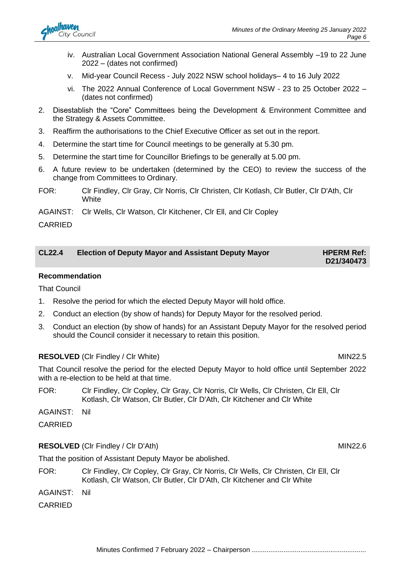- iv. Australian Local Government Association National General Assembly –19 to 22 June 2022 – (dates not confirmed)
- v. Mid-year Council Recess July 2022 NSW school holidays– 4 to 16 July 2022
- vi. The 2022 Annual Conference of Local Government NSW 23 to 25 October 2022 (dates not confirmed)
- 2. Disestablish the "Core" Committees being the Development & Environment Committee and the Strategy & Assets Committee.
- 3. Reaffirm the authorisations to the Chief Executive Officer as set out in the report.
- 4. Determine the start time for Council meetings to be generally at 5.30 pm.
- 5. Determine the start time for Councillor Briefings to be generally at 5.00 pm.
- 6. A future review to be undertaken (determined by the CEO) to review the success of the change from Committees to Ordinary.
- FOR: Clr Findley, Clr Gray, Clr Norris, Clr Christen, Clr Kotlash, Clr Butler, Clr D'Ath, Clr **White**
- AGAINST: Clr Wells, Clr Watson, Clr Kitchener, Clr Ell, and Clr Copley

#### CARRIED

| <b>CL22.4</b> | <b>Election of Deputy Mayor and Assistant Deputy Mayor</b> | <b>HPERM Ref:</b> |
|---------------|------------------------------------------------------------|-------------------|
|               |                                                            | D21/340473        |

#### **Recommendation**

That Council

- 1. Resolve the period for which the elected Deputy Mayor will hold office.
- 2. Conduct an election (by show of hands) for Deputy Mayor for the resolved period.
- 3. Conduct an election (by show of hands) for an Assistant Deputy Mayor for the resolved period should the Council consider it necessary to retain this position.

#### **RESOLVED** (CIr Findley / CIr White) MIN22.5

That Council resolve the period for the elected Deputy Mayor to hold office until September 2022 with a re-election to be held at that time.

FOR: Clr Findley, Clr Copley, Clr Gray, Clr Norris, Clr Wells, Clr Christen, Clr Ell, Clr Kotlash, Clr Watson, Clr Butler, Clr D'Ath, Clr Kitchener and Clr White

AGAINST: Nil

**CARRIED** 

#### **RESOLVED** (CIr Findley / CIr D'Ath) MIN22.6

That the position of Assistant Deputy Mayor be abolished.

FOR: Clr Findley, Clr Copley, Clr Gray, Clr Norris, Clr Wells, Clr Christen, Clr Ell, Clr Kotlash, Clr Watson, Clr Butler, Clr D'Ath, Clr Kitchener and Clr White

AGAINST: Nil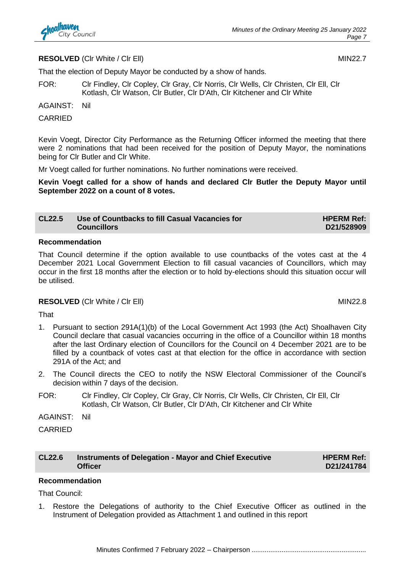

#### **RESOLVED** (CIr White / CIr Ell) MIN22.7

That the election of Deputy Mayor be conducted by a show of hands.

FOR: Clr Findley, Clr Copley, Clr Gray, Clr Norris, Clr Wells, Clr Christen, Clr Ell, Clr Kotlash, Clr Watson, Clr Butler, Clr D'Ath, Clr Kitchener and Clr White

AGAINST: Nil

#### CARRIED

Kevin Voegt, Director City Performance as the Returning Officer informed the meeting that there were 2 nominations that had been received for the position of Deputy Mayor, the nominations being for Clr Butler and Clr White.

Mr Voegt called for further nominations. No further nominations were received.

**Kevin Voegt called for a show of hands and declared Clr Butler the Deputy Mayor until September 2022 on a count of 8 votes.**

| <b>CL22.5</b> | Use of Countbacks to fill Casual Vacancies for | <b>HPERM Ref:</b> |
|---------------|------------------------------------------------|-------------------|
|               | <b>Councillors</b>                             | D21/528909        |

#### **Recommendation**

That Council determine if the option available to use countbacks of the votes cast at the 4 December 2021 Local Government Election to fill casual vacancies of Councillors, which may occur in the first 18 months after the election or to hold by-elections should this situation occur will be utilised.

#### **RESOLVED** (CIr White / CIr Ell) MIN22.8

That

- 1. Pursuant to section 291A(1)(b) of the Local Government Act 1993 (the Act) Shoalhaven City Council declare that casual vacancies occurring in the office of a Councillor within 18 months after the last Ordinary election of Councillors for the Council on 4 December 2021 are to be filled by a countback of votes cast at that election for the office in accordance with section 291A of the Act; and
- 2. The Council directs the CEO to notify the NSW Electoral Commissioner of the Council's decision within 7 days of the decision.
- FOR: Clr Findley, Clr Copley, Clr Gray, Clr Norris, Clr Wells, Clr Christen, Clr Ell, Clr Kotlash, Clr Watson, Clr Butler, Clr D'Ath, Clr Kitchener and Clr White

AGAINST: Nil

CARRIED

| <b>CL22.6</b> | Instruments of Delegation - Mayor and Chief Executive |
|---------------|-------------------------------------------------------|
|               | <b>Officer</b>                                        |

# **Recommendation**

That Council:

1. Restore the Delegations of authority to the Chief Executive Officer as outlined in the Instrument of Delegation provided as Attachment 1 and outlined in this report

**HPERM Ref: D21/241784**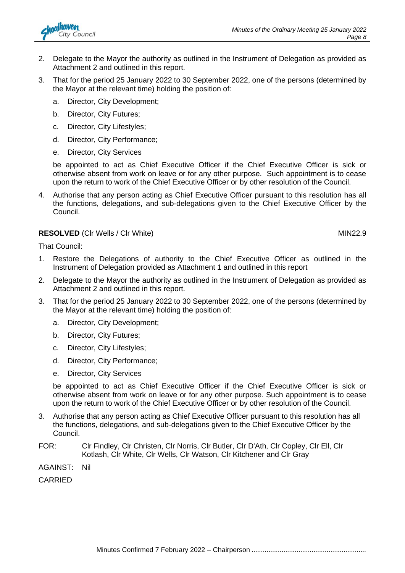

- 2. Delegate to the Mayor the authority as outlined in the Instrument of Delegation as provided as Attachment 2 and outlined in this report.
- 3. That for the period 25 January 2022 to 30 September 2022, one of the persons (determined by the Mayor at the relevant time) holding the position of:
	- a. Director, City Development;
	- b. Director, City Futures;
	- c. Director, City Lifestyles;
	- d. Director, City Performance;
	- e. Director, City Services

be appointed to act as Chief Executive Officer if the Chief Executive Officer is sick or otherwise absent from work on leave or for any other purpose. Such appointment is to cease upon the return to work of the Chief Executive Officer or by other resolution of the Council.

4. Authorise that any person acting as Chief Executive Officer pursuant to this resolution has all the functions, delegations, and sub-delegations given to the Chief Executive Officer by the Council.

#### **RESOLVED** (CIr Wells / CIr White) MIN22.9

That Council:

- 1. Restore the Delegations of authority to the Chief Executive Officer as outlined in the Instrument of Delegation provided as Attachment 1 and outlined in this report
- 2. Delegate to the Mayor the authority as outlined in the Instrument of Delegation as provided as Attachment 2 and outlined in this report.
- 3. That for the period 25 January 2022 to 30 September 2022, one of the persons (determined by the Mayor at the relevant time) holding the position of:
	- a. Director, City Development;
	- b. Director, City Futures;
	- c. Director, City Lifestyles;
	- d. Director, City Performance;
	- e. Director, City Services

be appointed to act as Chief Executive Officer if the Chief Executive Officer is sick or otherwise absent from work on leave or for any other purpose. Such appointment is to cease upon the return to work of the Chief Executive Officer or by other resolution of the Council.

- 3. Authorise that any person acting as Chief Executive Officer pursuant to this resolution has all the functions, delegations, and sub-delegations given to the Chief Executive Officer by the Council.
- FOR: Clr Findley, Clr Christen, Clr Norris, Clr Butler, Clr D'Ath, Clr Copley, Clr Ell, Clr Kotlash, Clr White, Clr Wells, Clr Watson, Clr Kitchener and Clr Gray
- AGAINST: Nil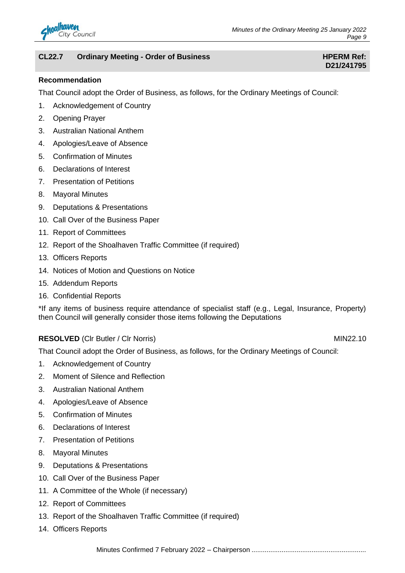

### **CL22.7 Ordinary Meeting - Order of Business HPERM Ref: HPERM Ref:**

# **D21/241795**

#### **Recommendation**

That Council adopt the Order of Business, as follows, for the Ordinary Meetings of Council:

- 1. Acknowledgement of Country
- 2. Opening Prayer
- 3. Australian National Anthem
- 4. Apologies/Leave of Absence
- 5. Confirmation of Minutes
- 6. Declarations of Interest
- 7. Presentation of Petitions
- 8. Mayoral Minutes
- 9. Deputations & Presentations
- 10. Call Over of the Business Paper
- 11. Report of Committees
- 12. Report of the Shoalhaven Traffic Committee (if required)
- 13. Officers Reports
- 14. Notices of Motion and Questions on Notice
- 15. Addendum Reports
- 16. Confidential Reports

\*If any items of business require attendance of specialist staff (e.g., Legal, Insurance, Property) then Council will generally consider those items following the Deputations

### **RESOLVED** (CIr Butler / CIr Norris) MIN22.10

That Council adopt the Order of Business, as follows, for the Ordinary Meetings of Council:

- 1. Acknowledgement of Country
- 2. Moment of Silence and Reflection
- 3. Australian National Anthem
- 4. Apologies/Leave of Absence
- 5. Confirmation of Minutes
- 6. Declarations of Interest
- 7. Presentation of Petitions
- 8. Mayoral Minutes
- 9. Deputations & Presentations
- 10. Call Over of the Business Paper
- 11. A Committee of the Whole (if necessary)
- 12. Report of Committees
- 13. Report of the Shoalhaven Traffic Committee (if required)
- 14. Officers Reports

Minutes Confirmed 7 February 2022 – Chairperson .............................................................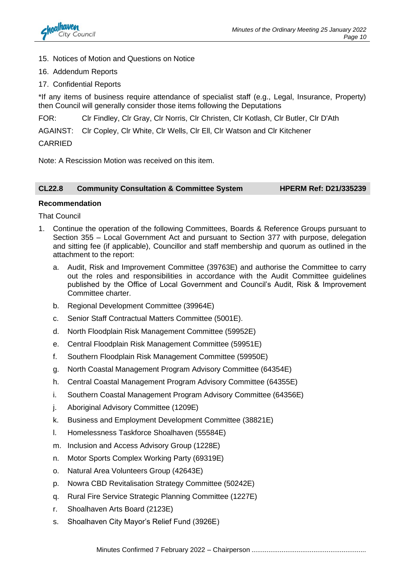

- 15. Notices of Motion and Questions on Notice
- 16. Addendum Reports
- 17. Confidential Reports

\*If any items of business require attendance of specialist staff (e.g., Legal, Insurance, Property) then Council will generally consider those items following the Deputations

FOR: Clr Findley, Clr Gray, Clr Norris, Clr Christen, Clr Kotlash, Clr Butler, Clr D'Ath

AGAINST: Clr Copley, Clr White, Clr Wells, Clr Ell, Clr Watson and Clr Kitchener

#### CARRIED

Note: A Rescission Motion was received on this item.

#### **CL22.8 Community Consultation & Committee System HPERM Ref: D21/335239**

#### **Recommendation**

That Council

- 1. Continue the operation of the following Committees, Boards & Reference Groups pursuant to Section 355 – Local Government Act and pursuant to Section 377 with purpose, delegation and sitting fee (if applicable), Councillor and staff membership and quorum as outlined in the attachment to the report:
	- a. Audit, Risk and Improvement Committee (39763E) and authorise the Committee to carry out the roles and responsibilities in accordance with the Audit Committee guidelines published by the Office of Local Government and Council's Audit, Risk & Improvement Committee charter.
	- b. Regional Development Committee (39964E)
	- c. Senior Staff Contractual Matters Committee (5001E).
	- d. North Floodplain Risk Management Committee (59952E)
	- e. Central Floodplain Risk Management Committee (59951E)
	- f. Southern Floodplain Risk Management Committee (59950E)
	- g. North Coastal Management Program Advisory Committee (64354E)
	- h. Central Coastal Management Program Advisory Committee (64355E)
	- i. Southern Coastal Management Program Advisory Committee (64356E)
	- j. Aboriginal Advisory Committee (1209E)
	- k. Business and Employment Development Committee (38821E)
	- l. Homelessness Taskforce Shoalhaven (55584E)
	- m. Inclusion and Access Advisory Group (1228E)
	- n. Motor Sports Complex Working Party (69319E)
	- o. Natural Area Volunteers Group (42643E)
	- p. Nowra CBD Revitalisation Strategy Committee (50242E)
	- q. Rural Fire Service Strategic Planning Committee (1227E)
	- r. Shoalhaven Arts Board (2123E)
	- s. Shoalhaven City Mayor's Relief Fund (3926E)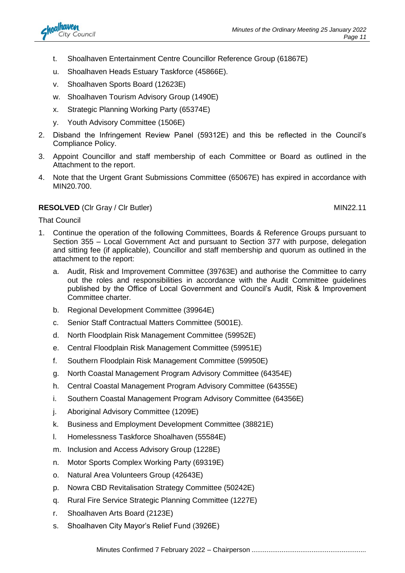- t. Shoalhaven Entertainment Centre Councillor Reference Group (61867E)
- u. Shoalhaven Heads Estuary Taskforce (45866E).
- v. Shoalhaven Sports Board (12623E)
- w. Shoalhaven Tourism Advisory Group (1490E)
- x. Strategic Planning Working Party (65374E)
- y. Youth Advisory Committee (1506E)
- 2. Disband the Infringement Review Panel (59312E) and this be reflected in the Council's Compliance Policy.
- 3. Appoint Councillor and staff membership of each Committee or Board as outlined in the Attachment to the report.
- 4. Note that the Urgent Grant Submissions Committee (65067E) has expired in accordance with MIN20.700.

#### **RESOLVED** (CIr Gray / CIr Butler) MIN22.11

That Council

- 1. Continue the operation of the following Committees, Boards & Reference Groups pursuant to Section 355 – Local Government Act and pursuant to Section 377 with purpose, delegation and sitting fee (if applicable), Councillor and staff membership and quorum as outlined in the attachment to the report:
	- a. Audit, Risk and Improvement Committee (39763E) and authorise the Committee to carry out the roles and responsibilities in accordance with the Audit Committee guidelines published by the Office of Local Government and Council's Audit, Risk & Improvement Committee charter.
	- b. Regional Development Committee (39964E)
	- c. Senior Staff Contractual Matters Committee (5001E).
	- d. North Floodplain Risk Management Committee (59952E)
	- e. Central Floodplain Risk Management Committee (59951E)
	- f. Southern Floodplain Risk Management Committee (59950E)
	- g. North Coastal Management Program Advisory Committee (64354E)
	- h. Central Coastal Management Program Advisory Committee (64355E)
	- i. Southern Coastal Management Program Advisory Committee (64356E)
	- j. Aboriginal Advisory Committee (1209E)
	- k. Business and Employment Development Committee (38821E)
	- l. Homelessness Taskforce Shoalhaven (55584E)
	- m. Inclusion and Access Advisory Group (1228E)
	- n. Motor Sports Complex Working Party (69319E)
	- o. Natural Area Volunteers Group (42643E)
	- p. Nowra CBD Revitalisation Strategy Committee (50242E)
	- q. Rural Fire Service Strategic Planning Committee (1227E)
	- r. Shoalhaven Arts Board (2123E)
	- s. Shoalhaven City Mayor's Relief Fund (3926E)

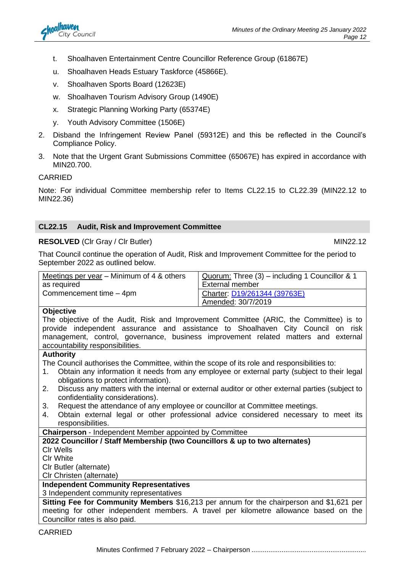- t. Shoalhaven Entertainment Centre Councillor Reference Group (61867E)
- u. Shoalhaven Heads Estuary Taskforce (45866E).
- v. Shoalhaven Sports Board (12623E)
- w. Shoalhaven Tourism Advisory Group (1490E)
- x. Strategic Planning Working Party (65374E)
- y. Youth Advisory Committee (1506E)
- 2. Disband the Infringement Review Panel (59312E) and this be reflected in the Council's Compliance Policy.
- 3. Note that the Urgent Grant Submissions Committee (65067E) has expired in accordance with MIN20.700.

#### CARRIED

Note: For individual Committee membership refer to Items CL22.15 to CL22.39 (MIN22.12 to MIN22.36)

#### **CL22.15 Audit, Risk and Improvement Committee**

#### **RESOLVED** (CIr Gray / CIr Butler) MIN22.12

That Council continue the operation of Audit, Risk and Improvement Committee for the period to September 2022 as outlined below.

| Meetings per year – Minimum of 4 & others                                                         | Quorum: Three (3) - including 1 Councillor & 1                                                  |  |
|---------------------------------------------------------------------------------------------------|-------------------------------------------------------------------------------------------------|--|
| as required                                                                                       | External member                                                                                 |  |
| Commencement time - 4pm                                                                           | Charter: D19/261344 (39763E)                                                                    |  |
|                                                                                                   | Amended: 30/7/2019                                                                              |  |
| <b>Objective</b>                                                                                  |                                                                                                 |  |
|                                                                                                   | The objective of the Audit, Risk and Improvement Committee (ARIC, the Committee) is to          |  |
|                                                                                                   | provide independent assurance and assistance to Shoalhaven City Council on risk                 |  |
|                                                                                                   | management, control, governance, business improvement related matters and external              |  |
| accountability responsibilities.                                                                  |                                                                                                 |  |
| <b>Authority</b>                                                                                  |                                                                                                 |  |
| The Council authorises the Committee, within the scope of its role and responsibilities to:       |                                                                                                 |  |
| Obtain any information it needs from any employee or external party (subject to their legal<br>1. |                                                                                                 |  |
| obligations to protect information).                                                              |                                                                                                 |  |
| 2.                                                                                                | Discuss any matters with the internal or external auditor or other external parties (subject to |  |
| confidentiality considerations).                                                                  |                                                                                                 |  |
| Request the attendance of any employee or councillor at Committee meetings.<br>3.                 |                                                                                                 |  |
| 4.                                                                                                | Obtain external legal or other professional advice considered necessary to meet its             |  |
| responsibilities.                                                                                 |                                                                                                 |  |

**Chairperson** - Independent Member appointed by Committee

#### **2022 Councillor / Staff Membership (two Councillors & up to two alternates)** Clr Wells Clr White

Clr Butler (alternate)

Clr Christen (alternate)

### **Independent Community Representatives**

3 Independent community representatives

**Sitting Fee for Community Members** \$16,213 per annum for the chairperson and \$1,621 per meeting for other independent members. A travel per kilometre allowance based on the Councillor rates is also paid.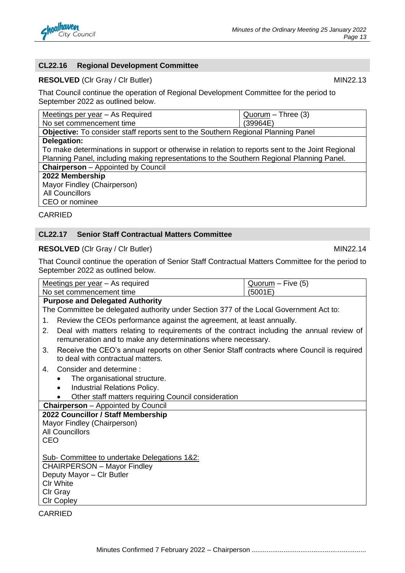

#### **CL22.16 Regional Development Committee**

#### **RESOLVED** (CIr Gray / CIr Butler) MIN22.13

That Council continue the operation of Regional Development Committee for the period to September 2022 as outlined below.

| Meetings per year - As Required                                                                  | Quorum - Three (3) |  |
|--------------------------------------------------------------------------------------------------|--------------------|--|
| No set commencement time                                                                         | (39964E)           |  |
| <b>Objective:</b> To consider staff reports sent to the Southern Regional Planning Panel         |                    |  |
| Delegation:                                                                                      |                    |  |
| To make determinations in support or otherwise in relation to reports sent to the Joint Regional |                    |  |
| Planning Panel, including making representations to the Southern Regional Planning Panel.        |                    |  |
| <b>Chairperson</b> - Appointed by Council                                                        |                    |  |
| 2022 Membership                                                                                  |                    |  |
| Mayor Findley (Chairperson)                                                                      |                    |  |
| <b>All Councillors</b>                                                                           |                    |  |
| CEO or nominee                                                                                   |                    |  |

#### CARRIED

#### **CL22.17 Senior Staff Contractual Matters Committee**

#### **RESOLVED** (CIr Gray / CIr Butler) MIN22.14

That Council continue the operation of Senior Staff Contractual Matters Committee for the period to September 2022 as outlined below.

|                                    | Meetings per year - As required                                                                                                                           | $Quorum - Five (5)$ |  |
|------------------------------------|-----------------------------------------------------------------------------------------------------------------------------------------------------------|---------------------|--|
|                                    | No set commencement time                                                                                                                                  | (5001E)             |  |
|                                    | <b>Purpose and Delegated Authority</b>                                                                                                                    |                     |  |
|                                    | The Committee be delegated authority under Section 377 of the Local Government Act to:                                                                    |                     |  |
| 1.                                 | Review the CEOs performance against the agreement, at least annually.                                                                                     |                     |  |
| 2.                                 | Deal with matters relating to requirements of the contract including the annual review of<br>remuneration and to make any determinations where necessary. |                     |  |
| 3.                                 | Receive the CEO's annual reports on other Senior Staff contracts where Council is required<br>to deal with contractual matters.                           |                     |  |
| 4.                                 | Consider and determine:                                                                                                                                   |                     |  |
|                                    | The organisational structure.                                                                                                                             |                     |  |
|                                    | <b>Industrial Relations Policy.</b>                                                                                                                       |                     |  |
|                                    | Other staff matters requiring Council consideration                                                                                                       |                     |  |
|                                    | <b>Chairperson</b> – Appointed by Council                                                                                                                 |                     |  |
|                                    | 2022 Councillor / Staff Membership                                                                                                                        |                     |  |
|                                    | Mayor Findley (Chairperson)                                                                                                                               |                     |  |
|                                    | <b>All Councillors</b>                                                                                                                                    |                     |  |
| <b>CEO</b>                         |                                                                                                                                                           |                     |  |
|                                    | Sub- Committee to undertake Delegations 1&2:                                                                                                              |                     |  |
| <b>CHAIRPERSON - Mayor Findley</b> |                                                                                                                                                           |                     |  |
| Deputy Mayor - Clr Butler          |                                                                                                                                                           |                     |  |
| <b>CIr White</b>                   |                                                                                                                                                           |                     |  |
|                                    | CIr Gray                                                                                                                                                  |                     |  |
|                                    | <b>CIr Copley</b>                                                                                                                                         |                     |  |
|                                    |                                                                                                                                                           |                     |  |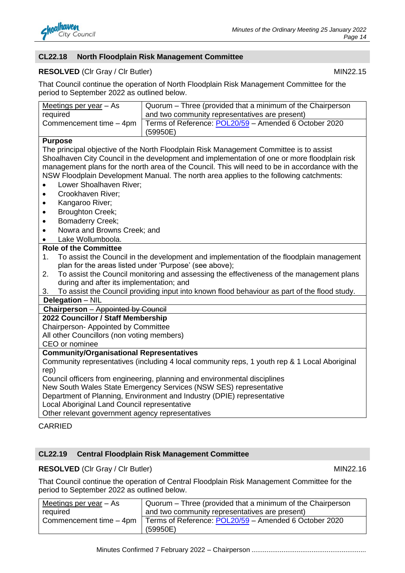

#### **CL22.18 North Floodplain Risk Management Committee**

#### **RESOLVED** (CIr Gray / CIr Butler) MIN22.15

That Council continue the operation of North Floodplain Risk Management Committee for the period to September 2022 as outlined below.

| Meetings per year $-$ As | Quorum – Three (provided that a minimum of the Chairperson |
|--------------------------|------------------------------------------------------------|
| required                 | and two community representatives are present)             |
| Commencement time - 4pm  | Terms of Reference: POL20/59 - Amended 6 October 2020      |
|                          | (59950E)                                                   |
|                          |                                                            |

#### **Purpose**

The principal objective of the North Floodplain Risk Management Committee is to assist Shoalhaven City Council in the development and implementation of one or more floodplain risk management plans for the north area of the Council. This will need to be in accordance with the NSW Floodplain Development Manual. The north area applies to the following catchments:

- Lower Shoalhaven River:
- Crookhaven River;
- Kangaroo River;
- Broughton Creek;
- Bomaderry Creek;
- Nowra and Browns Creek; and
- Lake Wollumboola.

#### **Role of the Committee**

- 1. To assist the Council in the development and implementation of the floodplain management plan for the areas listed under 'Purpose' (see above);
- 2. To assist the Council monitoring and assessing the effectiveness of the management plans during and after its implementation; and
- 3. To assist the Council providing input into known flood behaviour as part of the flood study.

**Delegation** – NIL

### **Chairperson** – Appointed by Council

**2022 Councillor / Staff Membership**

Chairperson- Appointed by Committee

All other Councillors (non voting members)

CEO or nominee

#### **Community/Organisational Representatives**

Community representatives (including 4 local community reps, 1 youth rep & 1 Local Aboriginal rep)

Council officers from engineering, planning and environmental disciplines

New South Wales State Emergency Services (NSW SES) representative

Department of Planning, Environment and Industry (DPIE) representative

Local Aboriginal Land Council representative

Other relevant government agency representatives

#### **CARRIED**

#### **CL22.19 Central Floodplain Risk Management Committee**

#### **RESOLVED** (CIr Gray / CIr Butler) MIN22.16

That Council continue the operation of Central Floodplain Risk Management Committee for the period to September 2022 as outlined below.

| Meetings per year $-$ As | Quorum – Three (provided that a minimum of the Chairperson |  |
|--------------------------|------------------------------------------------------------|--|
| required                 | and two community representatives are present)             |  |
| Commencement time - 4pm  | Terms of Reference: POL20/59 - Amended 6 October 2020      |  |
|                          | (59950E)                                                   |  |

Minutes Confirmed 7 February 2022 – Chairperson .............................................................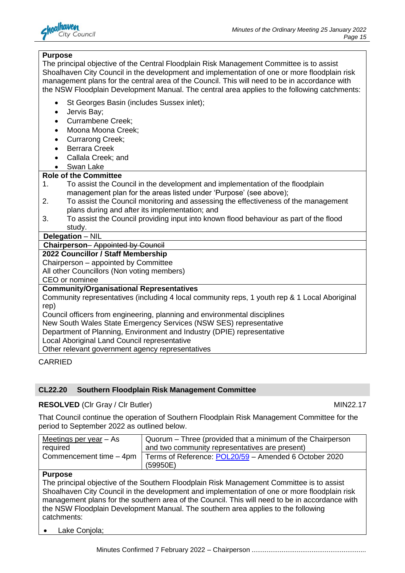

#### **Purpose**

The principal objective of the Central Floodplain Risk Management Committee is to assist Shoalhaven City Council in the development and implementation of one or more floodplain risk management plans for the central area of the Council. This will need to be in accordance with the NSW Floodplain Development Manual. The central area applies to the following catchments:

- St Georges Basin (includes Sussex inlet);
- Jervis Bay;
- Currambene Creek;
- Moona Moona Creek;
- Currarong Creek;
- Berrara Creek
- Callala Creek; and
- Swan Lake

### **Role of the Committee**

- 1. To assist the Council in the development and implementation of the floodplain management plan for the areas listed under 'Purpose' (see above);
- 2. To assist the Council monitoring and assessing the effectiveness of the management plans during and after its implementation; and
- 3. To assist the Council providing input into known flood behaviour as part of the flood study.

**Delegation** – NIL

**Chairperson**– Appointed by Council

#### **2022 Councillor / Staff Membership**

Chairperson – appointed by Committee

All other Councillors (Non voting members)

CEO or nominee

#### **Community/Organisational Representatives**

Community representatives (including 4 local community reps, 1 youth rep & 1 Local Aboriginal rep)

Council officers from engineering, planning and environmental disciplines

New South Wales State Emergency Services (NSW SES) representative

Department of Planning, Environment and Industry (DPIE) representative

Local Aboriginal Land Council representative

Other relevant government agency representatives

### CARRIED

### **CL22.20 Southern Floodplain Risk Management Committee**

#### **RESOLVED** (CIr Gray / CIr Butler) MIN22.17

That Council continue the operation of Southern Floodplain Risk Management Committee for the period to September 2022 as outlined below.

| Meetings per year $-$ As | Quorum – Three (provided that a minimum of the Chairperson |
|--------------------------|------------------------------------------------------------|
| required                 | and two community representatives are present)             |
| Commencement time - 4pm  | Terms of Reference: POL20/59 - Amended 6 October 2020      |
|                          | (59950E)                                                   |

#### **Purpose**

The principal objective of the Southern Floodplain Risk Management Committee is to assist Shoalhaven City Council in the development and implementation of one or more floodplain risk management plans for the southern area of the Council. This will need to be in accordance with the NSW Floodplain Development Manual. The southern area applies to the following catchments:

• Lake Conjola;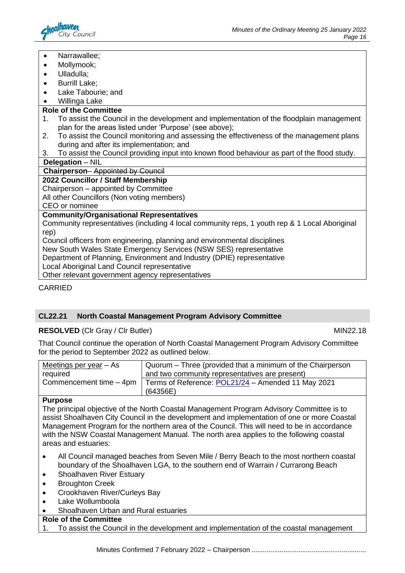

- Narrawallee;
- Mollymook;
- Ulladulla;
- Burrill Lake;
- Lake Tabourie; and
- Willinga Lake

#### **Role of the Committee**

- 1. To assist the Council in the development and implementation of the floodplain management plan for the areas listed under 'Purpose' (see above);
- 2. To assist the Council monitoring and assessing the effectiveness of the management plans during and after its implementation; and
- 3. To assist the Council providing input into known flood behaviour as part of the flood study.

#### **Delegation** – NIL

#### **Chairperson**– Appointed by Council

#### **2022 Councillor / Staff Membership**

Chairperson – appointed by Committee

All other Councillors (Non voting members)

CEO or nominee

#### **Community/Organisational Representatives**

Community representatives (including 4 local community reps, 1 youth rep & 1 Local Aboriginal rep)

Council officers from engineering, planning and environmental disciplines New South Wales State Emergency Services (NSW SES) representative

Department of Planning, Environment and Industry (DPIE) representative

Local Aboriginal Land Council representative

Other relevant government agency representatives

CARRIED

### **CL22.21 North Coastal Management Program Advisory Committee**

#### **RESOLVED** (CIr Gray / CIr Butler) MIN22.18

That Council continue the operation of North Coastal Management Program Advisory Committee for the period to September 2022 as outlined below.

| Meetings per year - As    | Quorum - Three (provided that a minimum of the Chairperson |
|---------------------------|------------------------------------------------------------|
| required                  | and two community representatives are present)             |
| Commencement time $-4$ pm | Terms of Reference: POL21/24 - Amended 11 May 2021         |
|                           | (64356E)                                                   |

#### **Purpose**

The principal objective of the North Coastal Management Program Advisory Committee is to assist Shoalhaven City Council in the development and implementation of one or more Coastal Management Program for the northern area of the Council. This will need to be in accordance with the NSW Coastal Management Manual. The north area applies to the following coastal areas and estuaries:

- All Council managed beaches from Seven Mile / Berry Beach to the most northern coastal boundary of the Shoalhaven LGA, to the southern end of Warrain / Currarong Beach
- Shoalhaven River Estuary
- Broughton Creek
- Crookhaven River/Curleys Bay
- Lake Wollumboola
- Shoalhaven Urban and Rural estuaries

### **Role of the Committee**

1. To assist the Council in the development and implementation of the coastal management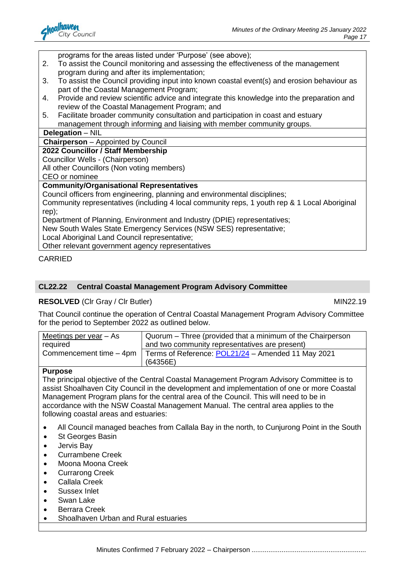

programs for the areas listed under 'Purpose' (see above);

- 2. To assist the Council monitoring and assessing the effectiveness of the management program during and after its implementation;
- 3. To assist the Council providing input into known coastal event(s) and erosion behaviour as part of the Coastal Management Program;
- 4. Provide and review scientific advice and integrate this knowledge into the preparation and review of the Coastal Management Program; and
- 5. Facilitate broader community consultation and participation in coast and estuary management through informing and liaising with member community groups.

#### **Delegation** – NIL

#### **Chairperson** – Appointed by Council

#### **2022 Councillor / Staff Membership**

Councillor Wells - (Chairperson)

All other Councillors (Non voting members) CEO or nominee

#### **Community/Organisational Representatives**

Council officers from engineering, planning and environmental disciplines;

Community representatives (including 4 local community reps, 1 youth rep & 1 Local Aboriginal rep);

Department of Planning, Environment and Industry (DPIE) representatives;

New South Wales State Emergency Services (NSW SES) representative;

Local Aboriginal Land Council representative;

Other relevant government agency representatives

#### CARRIED

#### **CL22.22 Central Coastal Management Program Advisory Committee**

**RESOLVED** (CIr Gray / CIr Butler) MIN22.19

That Council continue the operation of Central Coastal Management Program Advisory Committee for the period to September 2022 as outlined below.

| Meetings per year $-$ As | Quorum – Three (provided that a minimum of the Chairperson |  |
|--------------------------|------------------------------------------------------------|--|
| required                 | and two community representatives are present)             |  |
| Commencement time - 4pm  | Terms of Reference: POL21/24 - Amended 11 May 2021         |  |
|                          | (64356E)                                                   |  |

#### **Purpose**

The principal objective of the Central Coastal Management Program Advisory Committee is to assist Shoalhaven City Council in the development and implementation of one or more Coastal Management Program plans for the central area of the Council. This will need to be in accordance with the NSW Coastal Management Manual. The central area applies to the following coastal areas and estuaries:

- All Council managed beaches from Callala Bay in the north, to Cunjurong Point in the South
- St Georges Basin
- Jervis Bay
- Currambene Creek
- Moona Moona Creek
- Currarong Creek
- Callala Creek
- Sussex Inlet
- Swan Lake
- Berrara Creek
- Shoalhaven Urban and Rural estuaries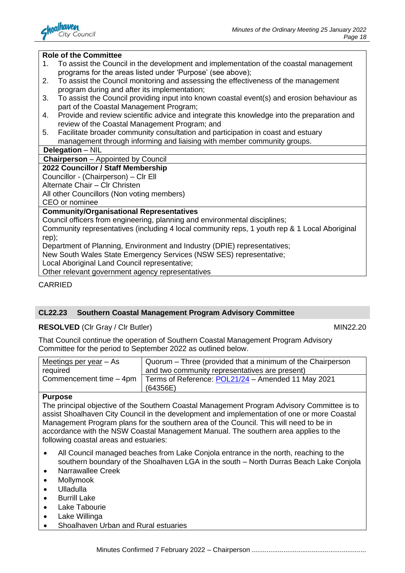

#### **Role of the Committee**

- 1. To assist the Council in the development and implementation of the coastal management programs for the areas listed under 'Purpose' (see above);
- 2. To assist the Council monitoring and assessing the effectiveness of the management program during and after its implementation;
- 3. To assist the Council providing input into known coastal event(s) and erosion behaviour as part of the Coastal Management Program;
- 4. Provide and review scientific advice and integrate this knowledge into the preparation and review of the Coastal Management Program; and
- 5. Facilitate broader community consultation and participation in coast and estuary management through informing and liaising with member community groups.

#### **Delegation** – NIL

**Chairperson** – Appointed by Council

#### **2022 Councillor / Staff Membership**

Councillor - (Chairperson) – Clr Ell

Alternate Chair – Clr Christen

All other Councillors (Non voting members)

CEO or nominee

#### **Community/Organisational Representatives**

Council officers from engineering, planning and environmental disciplines;

Community representatives (including 4 local community reps, 1 youth rep & 1 Local Aboriginal rep);

Department of Planning, Environment and Industry (DPIE) representatives;

New South Wales State Emergency Services (NSW SES) representative;

Local Aboriginal Land Council representative;

Other relevant government agency representatives

CARRIED

### **CL22.23 Southern Coastal Management Program Advisory Committee**

#### **RESOLVED** (CIr Gray / CIr Butler) MIN22.20

That Council continue the operation of Southern Coastal Management Program Advisory Committee for the period to September 2022 as outlined below.

| Meetings per year $-$ As | Quorum – Three (provided that a minimum of the Chairperson |  |
|--------------------------|------------------------------------------------------------|--|
| required                 | and two community representatives are present)             |  |
| Commencement time - 4pm  | Terms of Reference: POL21/24 - Amended 11 May 2021         |  |
|                          | (64356E)                                                   |  |

#### **Purpose**

The principal objective of the Southern Coastal Management Program Advisory Committee is to assist Shoalhaven City Council in the development and implementation of one or more Coastal Management Program plans for the southern area of the Council. This will need to be in accordance with the NSW Coastal Management Manual. The southern area applies to the following coastal areas and estuaries:

- All Council managed beaches from Lake Conjola entrance in the north, reaching to the southern boundary of the Shoalhaven LGA in the south – North Durras Beach Lake Conjola
- Narrawallee Creek
- Mollymook
- Ulladulla
- Burrill Lake
- Lake Tabourie
- Lake Willinga
- Shoalhaven Urban and Rural estuaries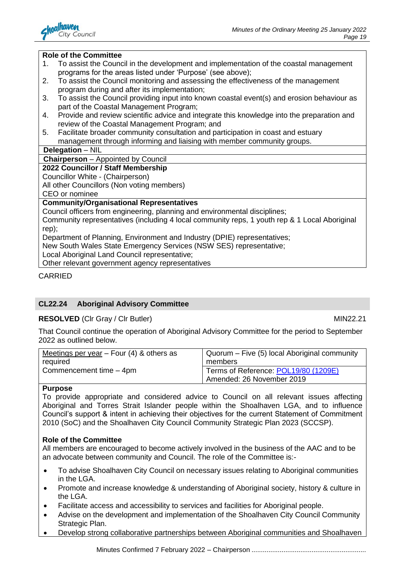

#### **Role of the Committee**

- 1. To assist the Council in the development and implementation of the coastal management programs for the areas listed under 'Purpose' (see above);
- 2. To assist the Council monitoring and assessing the effectiveness of the management program during and after its implementation;
- 3. To assist the Council providing input into known coastal event(s) and erosion behaviour as part of the Coastal Management Program;
- 4. Provide and review scientific advice and integrate this knowledge into the preparation and review of the Coastal Management Program; and
- 5. Facilitate broader community consultation and participation in coast and estuary management through informing and liaising with member community groups.

#### **Delegation** – NIL

**Chairperson** – Appointed by Council

#### **2022 Councillor / Staff Membership**

Councillor White - (Chairperson)

All other Councillors (Non voting members)

CEO or nominee

#### **Community/Organisational Representatives**

Council officers from engineering, planning and environmental disciplines;

Community representatives (including 4 local community reps, 1 youth rep & 1 Local Aboriginal rep);

Department of Planning, Environment and Industry (DPIE) representatives;

New South Wales State Emergency Services (NSW SES) representative;

Local Aboriginal Land Council representative;

Other relevant government agency representatives

**CARRIED** 

### **CL22.24 Aboriginal Advisory Committee**

#### **RESOLVED** (CIr Gray / CIr Butler) MIN22.21

That Council continue the operation of Aboriginal Advisory Committee for the period to September 2022 as outlined below.

| Meetings per year $-$ Four (4) & others as | Quorum – Five (5) local Aboriginal community |
|--------------------------------------------|----------------------------------------------|
| required                                   | members                                      |
| Commencement time - 4pm                    | Terms of Reference: POL19/80 (1209E)         |
|                                            | Amended: 26 November 2019                    |

#### **Purpose**

To provide appropriate and considered advice to Council on all relevant issues affecting Aboriginal and Torres Strait Islander people within the Shoalhaven LGA, and to influence Council's support & intent in achieving their objectives for the current Statement of Commitment 2010 (SoC) and the Shoalhaven City Council Community Strategic Plan 2023 (SCCSP).

#### **Role of the Committee**

All members are encouraged to become actively involved in the business of the AAC and to be an advocate between community and Council. The role of the Committee is:-

- To advise Shoalhaven City Council on necessary issues relating to Aboriginal communities in the LGA.
- Promote and increase knowledge & understanding of Aboriginal society, history & culture in the LGA.
- Facilitate access and accessibility to services and facilities for Aboriginal people.
- Advise on the development and implementation of the Shoalhaven City Council Community Strategic Plan.
- Develop strong collaborative partnerships between Aboriginal communities and Shoalhaven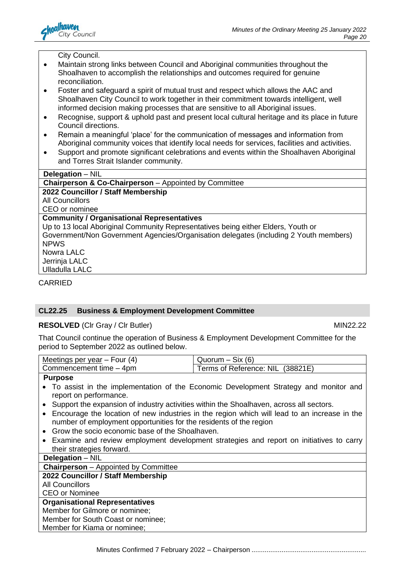

City Council.

- Maintain strong links between Council and Aboriginal communities throughout the Shoalhaven to accomplish the relationships and outcomes required for genuine reconciliation.
- Foster and safeguard a spirit of mutual trust and respect which allows the AAC and Shoalhaven City Council to work together in their commitment towards intelligent, well informed decision making processes that are sensitive to all Aboriginal issues.
- Recognise, support & uphold past and present local cultural heritage and its place in future Council directions.
- Remain a meaningful 'place' for the communication of messages and information from Aboriginal community voices that identify local needs for services, facilities and activities.
- Support and promote significant celebrations and events within the Shoalhaven Aboriginal and Torres Strait Islander community.

| <b>Delegation</b> – NIL                                                               |
|---------------------------------------------------------------------------------------|
| <b>Chairperson &amp; Co-Chairperson</b> – Appointed by Committee                      |
| 2022 Councillor / Staff Membership                                                    |
| <b>All Councillors</b>                                                                |
| CEO or nominee                                                                        |
| <b>Community / Organisational Representatives</b>                                     |
| Up to 13 local Aboriginal Community Representatives being either Elders, Youth or     |
| Government/Non Government Agencies/Organisation delegates (including 2 Youth members) |
| <b>NPWS</b>                                                                           |
| Nowra LALC                                                                            |
| Jerrinja LALC                                                                         |
| <b>Ulladulla LALC</b>                                                                 |

CARRIED

### **CL22.25 Business & Employment Development Committee**

#### **RESOLVED** (CIr Gray / CIr Butler) MIN22.22

That Council continue the operation of Business & Employment Development Committee for the period to September 2022 as outlined below.

| (4)<br>Meetings per year – Four | (6)<br>SIX<br>$\sim$ uorum – $\sim$ |
|---------------------------------|-------------------------------------|
| Commencement time - 4pm         | Terms of Reference: NIL (38821E)    |
| $\sim$                          |                                     |

#### **Purpose**

- To assist in the implementation of the Economic Development Strategy and monitor and report on performance.
- Support the expansion of industry activities within the Shoalhaven, across all sectors.
- Encourage the location of new industries in the region which will lead to an increase in the number of employment opportunities for the residents of the region
- Grow the socio economic base of the Shoalhaven.
- Examine and review employment development strategies and report on initiatives to carry their strategies forward.

### **Delegation** – NIL

#### **Chairperson** – Appointed by Committee

#### **2022 Councillor / Staff Membership**

All Councillors

#### CEO or Nominee

### **Organisational Representatives**

Member for Gilmore or nominee;

Member for South Coast or nominee;

Member for Kiama or nominee;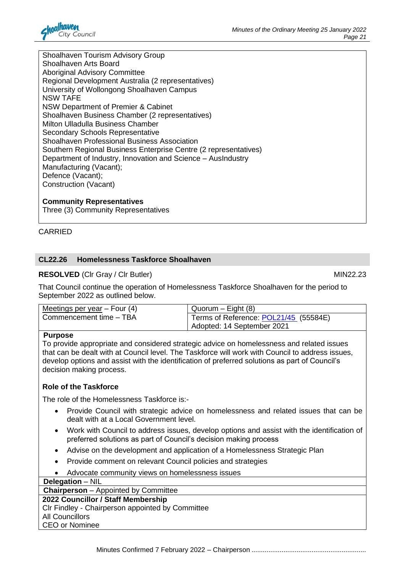

Shoalhaven Tourism Advisory Group Shoalhaven Arts Board Aboriginal Advisory Committee Regional Development Australia (2 representatives) University of Wollongong Shoalhaven Campus NSW TAFE NSW Department of Premier & Cabinet Shoalhaven Business Chamber (2 representatives) Milton Ulladulla Business Chamber Secondary Schools Representative Shoalhaven Professional Business Association Southern Regional Business Enterprise Centre (2 representatives) Department of Industry, Innovation and Science – AusIndustry Manufacturing (Vacant); Defence (Vacant); Construction (Vacant)

#### **Community Representatives**

Three (3) Community Representatives

#### CARRIED

#### **CL22.26 Homelessness Taskforce Shoalhaven**

#### **RESOLVED** (CIr Gray / CIr Butler) MIN22.23

That Council continue the operation of Homelessness Taskforce Shoalhaven for the period to September 2022 as outlined below.

| Meetings per year $-$ Four (4) | $Quorum - Eight(8)$                   |
|--------------------------------|---------------------------------------|
| Commencement time - TBA        | Terms of Reference: POL21/45 (55584E) |
|                                | Adopted: 14 September 2021            |

#### **Purpose**

To provide appropriate and considered strategic advice on homelessness and related issues that can be dealt with at Council level. The Taskforce will work with Council to address issues, develop options and assist with the identification of preferred solutions as part of Council's decision making process.

#### **Role of the Taskforce**

The role of the Homelessness Taskforce is:-

- Provide Council with strategic advice on homelessness and related issues that can be dealt with at a Local Government level.
- Work with Council to address issues, develop options and assist with the identification of preferred solutions as part of Council's decision making process
- Advise on the development and application of a Homelessness Strategic Plan
- Provide comment on relevant Council policies and strategies
- Advocate community views on homelessness issues

**Delegation** – NIL

**Chairperson** – Appointed by Committee

## **2022 Councillor / Staff Membership**

Clr Findley - Chairperson appointed by Committee

All Councillors CEO or Nominee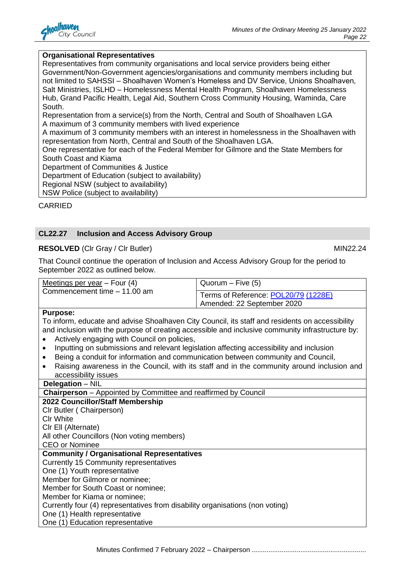

#### **Organisational Representatives**

Representatives from community organisations and local service providers being either Government/Non-Government agencies/organisations and community members including but not limited to SAHSSI – Shoalhaven Women's Homeless and DV Service, Unions Shoalhaven, Salt Ministries, ISLHD – Homelessness Mental Health Program, Shoalhaven Homelessness Hub, Grand Pacific Health, Legal Aid, Southern Cross Community Housing, Waminda, Care South.

Representation from a service(s) from the North, Central and South of Shoalhaven LGA A maximum of 3 community members with lived experience

A maximum of 3 community members with an interest in homelessness in the Shoalhaven with representation from North, Central and South of the Shoalhaven LGA.

One representative for each of the Federal Member for Gilmore and the State Members for South Coast and Kiama

Department of Communities & Justice

Department of Education (subject to availability)

Regional NSW (subject to availability)

NSW Police (subject to availability)

CARRIED

#### **CL22.27 Inclusion and Access Advisory Group**

#### **RESOLVED** (CIr Gray / CIr Butler) MIN22.24

That Council continue the operation of Inclusion and Access Advisory Group for the period to September 2022 as outlined below.

| Meetings per year $-$ Four (4)                                                                                 | $Quorum - Five (5)$                                                                        |  |
|----------------------------------------------------------------------------------------------------------------|--------------------------------------------------------------------------------------------|--|
| Commencement time - 11.00 am                                                                                   | Terms of Reference: POL20/79 (1228E)                                                       |  |
|                                                                                                                | Amended: 22 September 2020                                                                 |  |
| <b>Purpose:</b>                                                                                                |                                                                                            |  |
| To inform, educate and advise Shoalhaven City Council, its staff and residents on accessibility                |                                                                                            |  |
| and inclusion with the purpose of creating accessible and inclusive community infrastructure by:               |                                                                                            |  |
| Actively engaging with Council on policies,<br>$\bullet$                                                       |                                                                                            |  |
| Inputting on submissions and relevant legislation affecting accessibility and inclusion<br>$\bullet$           |                                                                                            |  |
| Being a conduit for information and communication between community and Council,<br>$\bullet$                  |                                                                                            |  |
| $\bullet$                                                                                                      | Raising awareness in the Council, with its staff and in the community around inclusion and |  |
| accessibility issues                                                                                           |                                                                                            |  |
| Delegation - NIL                                                                                               |                                                                                            |  |
| <b>Chairperson</b> – Appointed by Committee and reaffirmed by Council                                          |                                                                                            |  |
| 2022 Councillor/Staff Membership                                                                               |                                                                                            |  |
| CIr Butler (Chairperson)                                                                                       |                                                                                            |  |
| <b>CIr White</b>                                                                                               |                                                                                            |  |
| CIr Ell (Alternate)                                                                                            |                                                                                            |  |
| All other Councillors (Non voting members)                                                                     |                                                                                            |  |
| <b>CEO</b> or Nominee                                                                                          |                                                                                            |  |
| <b>Community / Organisational Representatives</b>                                                              |                                                                                            |  |
| <b>Currently 15 Community representatives</b>                                                                  |                                                                                            |  |
| One (1) Youth representative                                                                                   |                                                                                            |  |
| Member for Gilmore or nominee;                                                                                 |                                                                                            |  |
| Member for South Coast or nominee;                                                                             |                                                                                            |  |
| Member for Kiama or nominee;                                                                                   |                                                                                            |  |
| Currently four (4) representatives from disability organisations (non voting)<br>One (1) Health representative |                                                                                            |  |

One (1) Health representative One (1) Education representative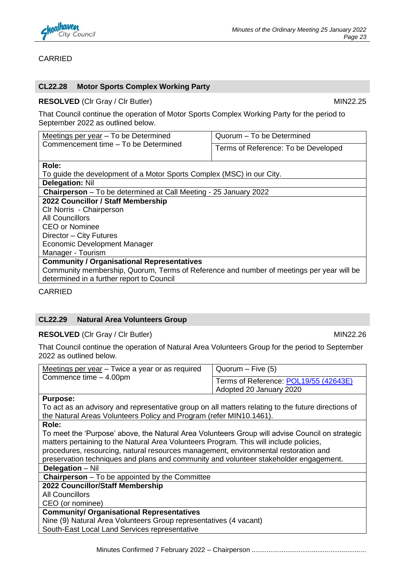

#### **CARRIED**

#### **CL22.28 Motor Sports Complex Working Party**

#### **RESOLVED** (CIr Gray / CIr Butler) MIN22.25

That Council continue the operation of Motor Sports Complex Working Party for the period to September 2022 as outlined below.

| Commencement time - To be Determined<br>Terms of Reference: To be Developed              |  |
|------------------------------------------------------------------------------------------|--|
|                                                                                          |  |
|                                                                                          |  |
| Role:                                                                                    |  |
| To guide the development of a Motor Sports Complex (MSC) in our City.                    |  |
| <b>Delegation: Nil</b>                                                                   |  |
| <b>Chairperson</b> – To be determined at Call Meeting - 25 January 2022                  |  |
| 2022 Councillor / Staff Membership                                                       |  |
| Clr Norris - Chairperson                                                                 |  |
| <b>All Councillors</b>                                                                   |  |
| <b>CEO or Nominee</b>                                                                    |  |
| Director - City Futures                                                                  |  |
| <b>Economic Development Manager</b>                                                      |  |
| Manager - Tourism                                                                        |  |
| <b>Community / Organisational Representatives</b>                                        |  |
| Community membership, Quorum, Terms of Reference and number of meetings per year will be |  |
| determined in a further report to Council                                                |  |

#### CARRIED

#### **CL22.29 Natural Area Volunteers Group**

#### **RESOLVED** (CIr Gray / CIr Butler) MIN22.26

That Council continue the operation of Natural Area Volunteers Group for the period to September 2022 as outlined below.

| Meetings per year – Twice a year or as required<br>Commence time - 4.00pm                          | $Quorum - Five (5)$                   |
|----------------------------------------------------------------------------------------------------|---------------------------------------|
|                                                                                                    | Terms of Reference: POL19/55 (42643E) |
|                                                                                                    | Adopted 20 January 2020               |
| <b>Purpose:</b>                                                                                    |                                       |
| To act as an advisory and representative group on all matters relating to the future directions of |                                       |
| the Natural Areas Volunteers Policy and Program (refer MIN10.1461).                                |                                       |
| Role:                                                                                              |                                       |
| To meet the 'Purpose' above, the Natural Area Volunteers Group will advise Council on strategic    |                                       |
| matters pertaining to the Natural Area Volunteers Program. This will include policies,             |                                       |
| procedures, resourcing, natural resources management, environmental restoration and                |                                       |
| preservation techniques and plans and community and volunteer stakeholder engagement.              |                                       |
| <b>Delegation</b> – Nil                                                                            |                                       |
| <b>Chairperson</b> – To be appointed by the Committee                                              |                                       |
| 2022 Councillor/Staff Membership                                                                   |                                       |
| <b>All Councillors</b>                                                                             |                                       |
| CEO (or nominee)                                                                                   |                                       |
| <b>Community/ Organisational Representatives</b>                                                   |                                       |
| Nine (9) Natural Area Volunteers Group representatives (4 vacant)                                  |                                       |

South-East Local Land Services representative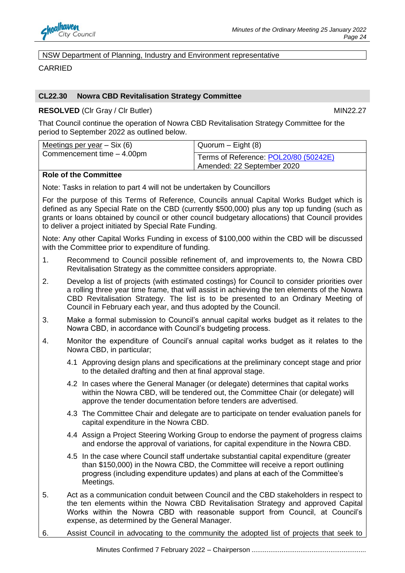

NSW Department of Planning, Industry and Environment representative

**CARRIED** 

#### **CL22.30 Nowra CBD Revitalisation Strategy Committee**

**RESOLVED** (CIr Gray / CIr Butler) MIN22.27

That Council continue the operation of Nowra CBD Revitalisation Strategy Committee for the period to September 2022 as outlined below.

| Meetings per year $-$ Six (6) | Quorum $-$ Eight (8)                                                |
|-------------------------------|---------------------------------------------------------------------|
| Commencement time - 4.00pm    | Terms of Reference: POL20/80 (50242E)<br>Amended: 22 September 2020 |

#### **Role of the Committee**

Note: Tasks in relation to part 4 will not be undertaken by Councillors

For the purpose of this Terms of Reference, Councils annual Capital Works Budget which is defined as any Special Rate on the CBD (currently \$500,000) plus any top up funding (such as grants or loans obtained by council or other council budgetary allocations) that Council provides to deliver a project initiated by Special Rate Funding.

Note: Any other Capital Works Funding in excess of \$100,000 within the CBD will be discussed with the Committee prior to expenditure of funding.

- 1. Recommend to Council possible refinement of, and improvements to, the Nowra CBD Revitalisation Strategy as the committee considers appropriate.
- 2. Develop a list of projects (with estimated costings) for Council to consider priorities over a rolling three year time frame, that will assist in achieving the ten elements of the Nowra CBD Revitalisation Strategy. The list is to be presented to an Ordinary Meeting of Council in February each year, and thus adopted by the Council.
- 3. Make a formal submission to Council's annual capital works budget as it relates to the Nowra CBD, in accordance with Council's budgeting process.
- 4. Monitor the expenditure of Council's annual capital works budget as it relates to the Nowra CBD, in particular;
	- 4.1 Approving design plans and specifications at the preliminary concept stage and prior to the detailed drafting and then at final approval stage.
	- 4.2 In cases where the General Manager (or delegate) determines that capital works within the Nowra CBD, will be tendered out, the Committee Chair (or delegate) will approve the tender documentation before tenders are advertised.
	- 4.3 The Committee Chair and delegate are to participate on tender evaluation panels for capital expenditure in the Nowra CBD.
	- 4.4 Assign a Project Steering Working Group to endorse the payment of progress claims and endorse the approval of variations, for capital expenditure in the Nowra CBD.
	- 4.5 In the case where Council staff undertake substantial capital expenditure (greater than \$150,000) in the Nowra CBD, the Committee will receive a report outlining progress (including expenditure updates) and plans at each of the Committee's Meetings.
- 5. Act as a communication conduit between Council and the CBD stakeholders in respect to the ten elements within the Nowra CBD Revitalisation Strategy and approved Capital Works within the Nowra CBD with reasonable support from Council, at Council's expense, as determined by the General Manager.
- 6. Assist Council in advocating to the community the adopted list of projects that seek to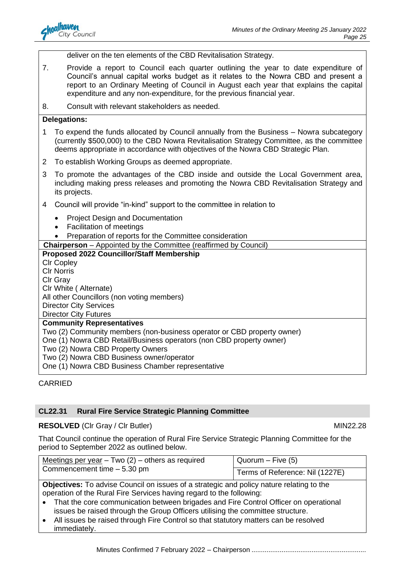

deliver on the ten elements of the CBD Revitalisation Strategy.

- 7. Provide a report to Council each quarter outlining the year to date expenditure of Council's annual capital works budget as it relates to the Nowra CBD and present a report to an Ordinary Meeting of Council in August each year that explains the capital expenditure and any non-expenditure, for the previous financial year.
- 8. Consult with relevant stakeholders as needed.

#### **Delegations:**

- 1 To expend the funds allocated by Council annually from the Business Nowra subcategory (currently \$500,000) to the CBD Nowra Revitalisation Strategy Committee, as the committee deems appropriate in accordance with objectives of the Nowra CBD Strategic Plan.
- 2 To establish Working Groups as deemed appropriate.
- 3 To promote the advantages of the CBD inside and outside the Local Government area, including making press releases and promoting the Nowra CBD Revitalisation Strategy and its projects.
- 4 Council will provide "in-kind" support to the committee in relation to
	- Project Design and Documentation
	- Facilitation of meetings
	- Preparation of reports for the Committee consideration
- **Chairperson**  Appointed by the Committee (reaffirmed by Council)

#### **Proposed 2022 Councillor/Staff Membership**  Clr Copley Clr Norris Clr Gray Clr White ( Alternate) All other Councillors (non voting members) Director City Services Director City Futures **Community Representatives**  Two (2) Community members (non-business operator or CBD property owner) One (1) Nowra CBD Retail/Business operators (non CBD property owner) Two (2) Nowra CBD Property Owners Two (2) Nowra CBD Business owner/operator

One (1) Nowra CBD Business Chamber representative

#### CARRIED

#### **CL22.31 Rural Fire Service Strategic Planning Committee**

#### **RESOLVED** (Clr Gray / Clr Butler) MIN22.28

That Council continue the operation of Rural Fire Service Strategic Planning Committee for the period to September 2022 as outlined below.

| Meetings per year $-$ Two (2) $-$ others as required<br>Commencement time - 5.30 pm             | $Quorum - Five (5)$             |
|-------------------------------------------------------------------------------------------------|---------------------------------|
|                                                                                                 | Terms of Reference: Nil (1227E) |
| <b>Objectives:</b> To advise Council on issues of a strategic and policy nature relating to the |                                 |
| operation of the Rural Fire Services having regard to the following:                            |                                 |
| • That the core communication between brigades and Fire Control Officer on operational          |                                 |

- issues be raised through the Group Officers utilising the committee structure. • All issues be raised through Fire Control so that statutory matters can be resolved
	- immediately.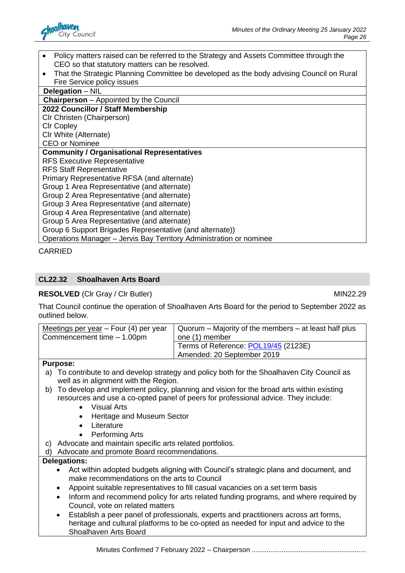

- Policy matters raised can be referred to the Strategy and Assets Committee through the CEO so that statutory matters can be resolved.
- That the Strategic Planning Committee be developed as the body advising Council on Rural Fire Service policy issues

| Delegation - NIL                                                    |
|---------------------------------------------------------------------|
| <b>Chairperson</b> – Appointed by the Council                       |
| 2022 Councillor / Staff Membership                                  |
| CIr Christen (Chairperson)                                          |
| <b>CIr Copley</b>                                                   |
| Clr White (Alternate)                                               |
| <b>CEO</b> or Nominee                                               |
| <b>Community / Organisational Representatives</b>                   |
| <b>RFS Executive Representative</b>                                 |
| <b>RFS Staff Representative</b>                                     |
| Primary Representative RFSA (and alternate)                         |
| Group 1 Area Representative (and alternate)                         |
| Group 2 Area Representative (and alternate)                         |
| Group 3 Area Representative (and alternate)                         |
| Group 4 Area Representative (and alternate)                         |
| Group 5 Area Representative (and alternate)                         |
| Group 6 Support Brigades Representative (and alternate))            |
| Operations Manager - Jervis Bay Territory Administration or nominee |
|                                                                     |

CARRIED

### **CL22.32 Shoalhaven Arts Board**

**RESOLVED** (CIr Gray / CIr Butler) MIN22.29

That Council continue the operation of Shoalhaven Arts Board for the period to September 2022 as outlined below.

| Meetings per year $-$ Four (4) per year                                                                                             | Quorum – Majority of the members – at least half plus                                    |  |
|-------------------------------------------------------------------------------------------------------------------------------------|------------------------------------------------------------------------------------------|--|
| Commencement time - 1.00pm                                                                                                          | one (1) member                                                                           |  |
|                                                                                                                                     | Terms of Reference: POL19/45 (2123E)                                                     |  |
|                                                                                                                                     | Amended: 20 September 2019                                                               |  |
| <b>Purpose:</b>                                                                                                                     |                                                                                          |  |
| a)<br>well as in alignment with the Region.                                                                                         | To contribute to and develop strategy and policy both for the Shoalhaven City Council as |  |
| b)                                                                                                                                  | To develop and implement policy, planning and vision for the broad arts within existing  |  |
|                                                                                                                                     | resources and use a co-opted panel of peers for professional advice. They include:       |  |
| <b>Visual Arts</b><br>$\bullet$                                                                                                     |                                                                                          |  |
| Heritage and Museum Sector<br>$\bullet$                                                                                             |                                                                                          |  |
| Literature                                                                                                                          |                                                                                          |  |
| <b>Performing Arts</b>                                                                                                              |                                                                                          |  |
| Advocate and maintain specific arts related portfolios.<br>C)                                                                       |                                                                                          |  |
| Advocate and promote Board recommendations.<br>d)                                                                                   |                                                                                          |  |
| <b>Delegations:</b>                                                                                                                 |                                                                                          |  |
| Act within adopted budgets aligning with Council's strategic plans and document, and<br>make recommendations on the arts to Council |                                                                                          |  |
| Appoint suitable representatives to fill casual vacancies on a set term basis<br>٠                                                  |                                                                                          |  |
| Inform and recommend policy for arts related funding programs, and where required by<br>$\bullet$                                   |                                                                                          |  |
| Council, vote on related matters                                                                                                    |                                                                                          |  |
| Establish a peer panel of professionals, experts and practitioners across art forms,<br>$\bullet$                                   |                                                                                          |  |
| heritage and cultural platforms to be co-opted as needed for input and advice to the<br>Shoalhaven Arts Board                       |                                                                                          |  |
|                                                                                                                                     |                                                                                          |  |

Minutes Confirmed 7 February 2022 – Chairperson .............................................................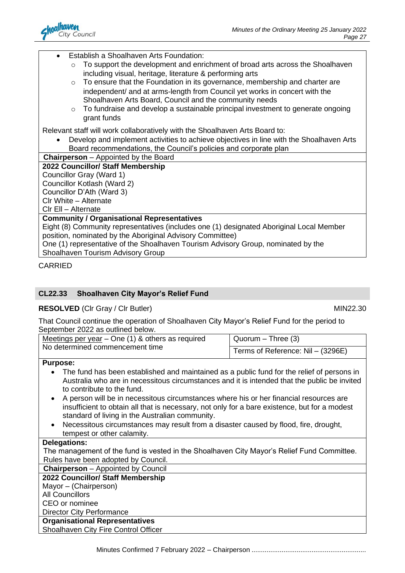

• Establish a Shoalhaven Arts Foundation:

- o To support the development and enrichment of broad arts across the Shoalhaven including visual, heritage, literature & performing arts
- o To ensure that the Foundation in its governance, membership and charter are independent/ and at arms-length from Council yet works in concert with the Shoalhaven Arts Board, Council and the community needs
- o To fundraise and develop a sustainable principal investment to generate ongoing grant funds

Relevant staff will work collaboratively with the Shoalhaven Arts Board to:

• Develop and implement activities to achieve objectives in line with the Shoalhaven Arts Board recommendations, the Council's policies and corporate plan

**Chairperson** – Appointed by the Board

#### **2022 Councillor/ Staff Membership**

Councillor Gray (Ward 1)

Councillor Kotlash (Ward 2)

Councillor D'Ath (Ward 3)

Clr White – Alternate

Clr Ell – Alternate

#### **Community / Organisational Representatives**

Eight (8) Community representatives (includes one (1) designated Aboriginal Local Member position, nominated by the Aboriginal Advisory Committee)

One (1) representative of the Shoalhaven Tourism Advisory Group, nominated by the Shoalhaven Tourism Advisory Group

CARRIED

### **CL22.33 Shoalhaven City Mayor's Relief Fund**

### **RESOLVED** (CIr Gray / CIr Butler) MIN22.30

That Council continue the operation of Shoalhaven City Mayor's Relief Fund for the period to September 2022 as outlined below.

| Meetings per year $-$ One (1) & others as required<br>No determined commencement time | Quorum – Three (3)                |
|---------------------------------------------------------------------------------------|-----------------------------------|
|                                                                                       | Terms of Reference: Nil - (3296E) |

#### **Purpose:**

- The fund has been established and maintained as a public fund for the relief of persons in Australia who are in necessitous circumstances and it is intended that the public be invited to contribute to the fund.
- A person will be in necessitous circumstances where his or her financial resources are insufficient to obtain all that is necessary, not only for a bare existence, but for a modest standard of living in the Australian community.
- Necessitous circumstances may result from a disaster caused by flood, fire, drought, tempest or other calamity.

#### **Delegations:**

The management of the fund is vested in the Shoalhaven City Mayor's Relief Fund Committee. Rules have been adopted by Council.

# **Chairperson** – Appointed by Council

# **2022 Councillor/ Staff Membership**

Mayor – (Chairperson) All Councillors CEO or nominee

#### Director City Performance **Organisational Representatives**

Shoalhaven City Fire Control Officer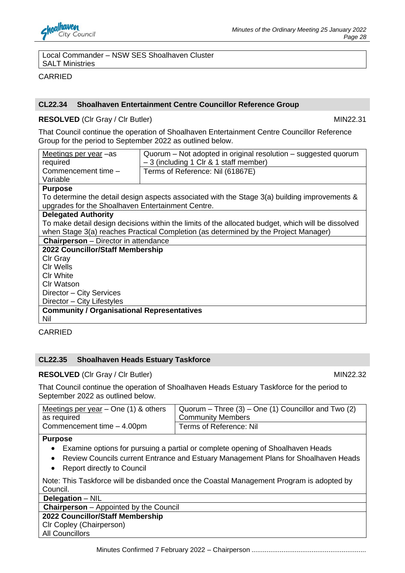

#### Local Commander – NSW SES Shoalhaven Cluster SALT Ministries

CARRIED

#### **CL22.34 Shoalhaven Entertainment Centre Councillor Reference Group**

#### **RESOLVED** (CIr Gray / CIr Butler) MIN22.31

That Council continue the operation of Shoalhaven Entertainment Centre Councillor Reference Group for the period to September 2022 as outlined below.

| Meetings per year -as<br>required                 | Quorum – Not adopted in original resolution – suggested quorum<br>- 3 (including 1 Clr & 1 staff member) |  |
|---------------------------------------------------|----------------------------------------------------------------------------------------------------------|--|
|                                                   |                                                                                                          |  |
| Commencement time -                               | Terms of Reference: Nil (61867E)                                                                         |  |
| Variable                                          |                                                                                                          |  |
| <b>Purpose</b>                                    |                                                                                                          |  |
|                                                   | To determine the detail design aspects associated with the Stage 3(a) building improvements &            |  |
| upgrades for the Shoalhaven Entertainment Centre. |                                                                                                          |  |
| <b>Delegated Authority</b>                        |                                                                                                          |  |
|                                                   | To make detail design decisions within the limits of the allocated budget, which will be dissolved       |  |
|                                                   | when Stage 3(a) reaches Practical Completion (as determined by the Project Manager)                      |  |
| <b>Chairperson</b> – Director in attendance       |                                                                                                          |  |
| 2022 Councillor/Staff Membership                  |                                                                                                          |  |
| Clr Gray                                          |                                                                                                          |  |
| Cir Wells                                         |                                                                                                          |  |
| <b>CIr White</b>                                  |                                                                                                          |  |
| <b>CIr Watson</b>                                 |                                                                                                          |  |
| Director - City Services                          |                                                                                                          |  |
| Director - City Lifestyles                        |                                                                                                          |  |
| <b>Community / Organisational Representatives</b> |                                                                                                          |  |
| Nil                                               |                                                                                                          |  |

CARRIED

#### **CL22.35 Shoalhaven Heads Estuary Taskforce**

**RESOLVED** (CIr Gray / CIr Butler) MIN22.32

That Council continue the operation of Shoalhaven Heads Estuary Taskforce for the period to September 2022 as outlined below.

| Meetings per year $-$ One (1) & others | $\vert$ Quorum – Three (3) – One (1) Councillor and Two (2) |
|----------------------------------------|-------------------------------------------------------------|
| as required                            | <b>Community Members</b>                                    |
| Commencement time - 4.00pm             | Terms of Reference: Nil                                     |

**Purpose** 

- Examine options for pursuing a partial or complete opening of Shoalhaven Heads
- Review Councils current Entrance and Estuary Management Plans for Shoalhaven Heads
- Report directly to Council

Note: This Taskforce will be disbanded once the Coastal Management Program is adopted by Council.

**Delegation** – NIL

**Chairperson** – Appointed by the Council

#### **2022 Councillor/Staff Membership**

Clr Copley (Chairperson)

All Councillors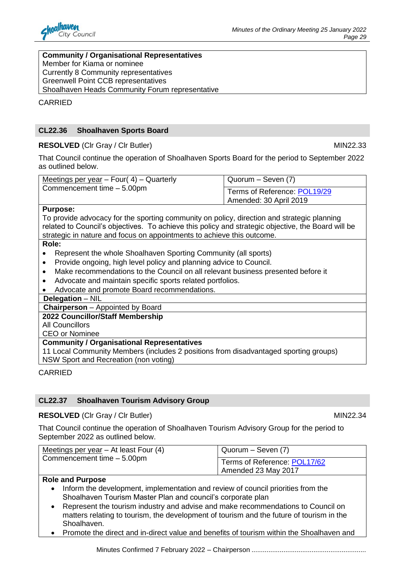

#### **Community / Organisational Representatives**

Member for Kiama or nominee

Currently 8 Community representatives

Greenwell Point CCB representatives

Shoalhaven Heads Community Forum representative

CARRIED

#### **CL22.36 Shoalhaven Sports Board**

#### **RESOLVED** (CIr Gray / CIr Butler) MIN22.33

That Council continue the operation of Shoalhaven Sports Board for the period to September 2022 as outlined below.

| Meetings per year $-$ Four( 4) $-$ Quarterly<br>Commencement time - 5.00pm | Quorum – Seven (7)           |
|----------------------------------------------------------------------------|------------------------------|
|                                                                            | Terms of Reference: POL19/29 |
|                                                                            | Amended: 30 April 2019       |

#### **Purpose:**

To provide advocacy for the sporting community on policy, direction and strategic planning related to Council's objectives. To achieve this policy and strategic objective, the Board will be strategic in nature and focus on appointments to achieve this outcome.

#### **Role:**

- Represent the whole Shoalhaven Sporting Community (all sports)
- Provide ongoing, high level policy and planning advice to Council.
- Make recommendations to the Council on all relevant business presented before it
- Advocate and maintain specific sports related portfolios.
- Advocate and promote Board recommendations.

#### **Delegation** – NIL

**Chairperson** – Appointed by Board

**2022 Councillor/Staff Membership** 

All Councillors

CEO or Nominee

#### **Community / Organisational Representatives**

11 Local Community Members (includes 2 positions from disadvantaged sporting groups) NSW Sport and Recreation (non voting)

#### CARRIED

### **CL22.37 Shoalhaven Tourism Advisory Group**

**RESOLVED** (CIr Gray / CIr Butler) MIN22.34

That Council continue the operation of Shoalhaven Tourism Advisory Group for the period to September 2022 as outlined below.

| Meetings per year $-$ At least Four (4) | Quorum – Seven (7)           |
|-----------------------------------------|------------------------------|
| Commencement time - 5.00pm              | Terms of Reference: POL17/62 |
|                                         | Amended 23 May 2017          |

### **Role and Purpose**

- Inform the development, implementation and review of council priorities from the Shoalhaven Tourism Master Plan and council's corporate plan
- Represent the tourism industry and advise and make recommendations to Council on matters relating to tourism, the development of tourism and the future of tourism in the Shoalhaven.
- Promote the direct and in-direct value and benefits of tourism within the Shoalhaven and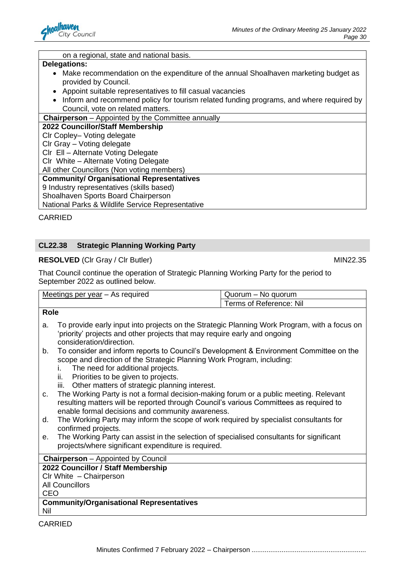

#### on a regional, state and national basis.

#### **Delegations:**

- Make recommendation on the expenditure of the annual Shoalhaven marketing budget as provided by Council.
- Appoint suitable representatives to fill casual vacancies
- Inform and recommend policy for tourism related funding programs, and where required by Council, vote on related matters.

**Chairperson** – Appointed by the Committee annually

**2022 Councillor/Staff Membership** 

Clr Copley– Voting delegate

Clr Gray – Voting delegate

Clr Ell – Alternate Voting Delegate

Clr White – Alternate Voting Delegate

All other Councillors (Non voting members)

**Community/ Organisational Representatives** 

9 Industry representatives (skills based)

Shoalhaven Sports Board Chairperson

National Parks & Wildlife Service Representative

CARRIED

#### **CL22.38 Strategic Planning Working Party**

#### **RESOLVED** (CIr Gray / CIr Butler) MIN22.35

That Council continue the operation of Strategic Planning Working Party for the period to September 2022 as outlined below.

| Meetings per year - As required | Quorum – No quorum      |  |
|---------------------------------|-------------------------|--|
|                                 | Terms of Reference: Nil |  |

#### **Role**

- a. To provide early input into projects on the Strategic Planning Work Program, with a focus on 'priority' projects and other projects that may require early and ongoing consideration/direction.
- b. To consider and inform reports to Council's Development & Environment Committee on the scope and direction of the Strategic Planning Work Program, including:
	- i. The need for additional projects.
	- ii. Priorities to be given to projects.<br>iii. Other matters of strategic plannii
	- Other matters of strategic planning interest.
- c. The Working Party is not a formal decision-making forum or a public meeting. Relevant resulting matters will be reported through Council's various Committees as required to enable formal decisions and community awareness.
- d. The Working Party may inform the scope of work required by specialist consultants for confirmed projects.
- e. The Working Party can assist in the selection of specialised consultants for significant projects/where significant expenditure is required.

#### **Chairperson** – Appointed by Council

#### **2022 Councillor / Staff Membership**

Clr White – Chairperson All Councillors CEO

#### **Community/Organisational Representatives**  Nil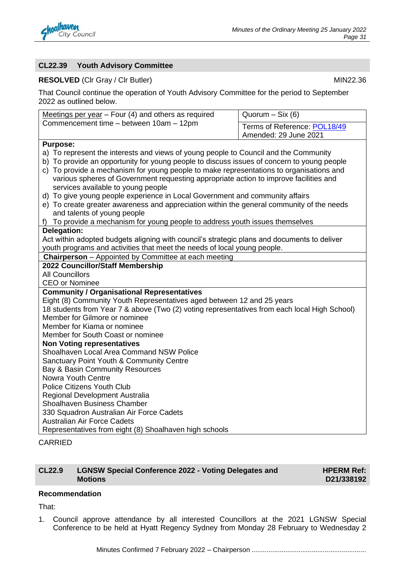

#### **CL22.39 Youth Advisory Committee**

#### **RESOLVED** (CIr Gray / CIr Butler) MIN22.36

That Council continue the operation of Youth Advisory Committee for the period to September 2022 as outlined below.

| Terms of Reference: POL18/49<br>Amended: 29 June 2021<br><b>Purpose:</b><br>a) To represent the interests and views of young people to Council and the Community<br>b) To provide an opportunity for young people to discuss issues of concern to young people<br>c) To provide a mechanism for young people to make representations to organisations and<br>various spheres of Government requesting appropriate action to improve facilities and<br>services available to young people<br>d) To give young people experience in Local Government and community affairs<br>e) To create greater awareness and appreciation within the general community of the needs<br>and talents of young people<br>f) To provide a mechanism for young people to address youth issues themselves<br>Delegation:<br>Act within adopted budgets aligning with council's strategic plans and documents to deliver<br>youth programs and activities that meet the needs of local young people.<br><b>Chairperson</b> - Appointed by Committee at each meeting<br>2022 Councillor/Staff Membership<br><b>All Councillors</b><br><b>CEO or Nominee</b><br><b>Community / Organisational Representatives</b><br>Eight (8) Community Youth Representatives aged between 12 and 25 years<br>18 students from Year 7 & above (Two (2) voting representatives from each local High School)<br>Member for Gilmore or nominee<br>Member for Kiama or nominee<br>Member for South Coast or nominee<br><b>Non Voting representatives</b><br>Shoalhaven Local Area Command NSW Police<br>Sanctuary Point Youth & Community Centre<br>Bay & Basin Community Resources<br>Nowra Youth Centre<br><b>Police Citizens Youth Club</b><br>Regional Development Australia<br>Shoalhaven Business Chamber<br>330 Squadron Australian Air Force Cadets<br><b>Australian Air Force Cadets</b><br>Representatives from eight (8) Shoalhaven high schools | Meetings per year $-$ Four (4) and others as required | Quorum $-$ Six (6) |  |
|-------------------------------------------------------------------------------------------------------------------------------------------------------------------------------------------------------------------------------------------------------------------------------------------------------------------------------------------------------------------------------------------------------------------------------------------------------------------------------------------------------------------------------------------------------------------------------------------------------------------------------------------------------------------------------------------------------------------------------------------------------------------------------------------------------------------------------------------------------------------------------------------------------------------------------------------------------------------------------------------------------------------------------------------------------------------------------------------------------------------------------------------------------------------------------------------------------------------------------------------------------------------------------------------------------------------------------------------------------------------------------------------------------------------------------------------------------------------------------------------------------------------------------------------------------------------------------------------------------------------------------------------------------------------------------------------------------------------------------------------------------------------------------------------------------------------------------------------------------------------------------------------------------------------|-------------------------------------------------------|--------------------|--|
|                                                                                                                                                                                                                                                                                                                                                                                                                                                                                                                                                                                                                                                                                                                                                                                                                                                                                                                                                                                                                                                                                                                                                                                                                                                                                                                                                                                                                                                                                                                                                                                                                                                                                                                                                                                                                                                                                                                   | Commencement time - between 10am - 12pm               |                    |  |
|                                                                                                                                                                                                                                                                                                                                                                                                                                                                                                                                                                                                                                                                                                                                                                                                                                                                                                                                                                                                                                                                                                                                                                                                                                                                                                                                                                                                                                                                                                                                                                                                                                                                                                                                                                                                                                                                                                                   |                                                       |                    |  |
|                                                                                                                                                                                                                                                                                                                                                                                                                                                                                                                                                                                                                                                                                                                                                                                                                                                                                                                                                                                                                                                                                                                                                                                                                                                                                                                                                                                                                                                                                                                                                                                                                                                                                                                                                                                                                                                                                                                   |                                                       |                    |  |
|                                                                                                                                                                                                                                                                                                                                                                                                                                                                                                                                                                                                                                                                                                                                                                                                                                                                                                                                                                                                                                                                                                                                                                                                                                                                                                                                                                                                                                                                                                                                                                                                                                                                                                                                                                                                                                                                                                                   |                                                       |                    |  |
|                                                                                                                                                                                                                                                                                                                                                                                                                                                                                                                                                                                                                                                                                                                                                                                                                                                                                                                                                                                                                                                                                                                                                                                                                                                                                                                                                                                                                                                                                                                                                                                                                                                                                                                                                                                                                                                                                                                   |                                                       |                    |  |
|                                                                                                                                                                                                                                                                                                                                                                                                                                                                                                                                                                                                                                                                                                                                                                                                                                                                                                                                                                                                                                                                                                                                                                                                                                                                                                                                                                                                                                                                                                                                                                                                                                                                                                                                                                                                                                                                                                                   |                                                       |                    |  |
|                                                                                                                                                                                                                                                                                                                                                                                                                                                                                                                                                                                                                                                                                                                                                                                                                                                                                                                                                                                                                                                                                                                                                                                                                                                                                                                                                                                                                                                                                                                                                                                                                                                                                                                                                                                                                                                                                                                   |                                                       |                    |  |
|                                                                                                                                                                                                                                                                                                                                                                                                                                                                                                                                                                                                                                                                                                                                                                                                                                                                                                                                                                                                                                                                                                                                                                                                                                                                                                                                                                                                                                                                                                                                                                                                                                                                                                                                                                                                                                                                                                                   |                                                       |                    |  |
|                                                                                                                                                                                                                                                                                                                                                                                                                                                                                                                                                                                                                                                                                                                                                                                                                                                                                                                                                                                                                                                                                                                                                                                                                                                                                                                                                                                                                                                                                                                                                                                                                                                                                                                                                                                                                                                                                                                   |                                                       |                    |  |
|                                                                                                                                                                                                                                                                                                                                                                                                                                                                                                                                                                                                                                                                                                                                                                                                                                                                                                                                                                                                                                                                                                                                                                                                                                                                                                                                                                                                                                                                                                                                                                                                                                                                                                                                                                                                                                                                                                                   |                                                       |                    |  |
|                                                                                                                                                                                                                                                                                                                                                                                                                                                                                                                                                                                                                                                                                                                                                                                                                                                                                                                                                                                                                                                                                                                                                                                                                                                                                                                                                                                                                                                                                                                                                                                                                                                                                                                                                                                                                                                                                                                   |                                                       |                    |  |
|                                                                                                                                                                                                                                                                                                                                                                                                                                                                                                                                                                                                                                                                                                                                                                                                                                                                                                                                                                                                                                                                                                                                                                                                                                                                                                                                                                                                                                                                                                                                                                                                                                                                                                                                                                                                                                                                                                                   |                                                       |                    |  |
|                                                                                                                                                                                                                                                                                                                                                                                                                                                                                                                                                                                                                                                                                                                                                                                                                                                                                                                                                                                                                                                                                                                                                                                                                                                                                                                                                                                                                                                                                                                                                                                                                                                                                                                                                                                                                                                                                                                   |                                                       |                    |  |
|                                                                                                                                                                                                                                                                                                                                                                                                                                                                                                                                                                                                                                                                                                                                                                                                                                                                                                                                                                                                                                                                                                                                                                                                                                                                                                                                                                                                                                                                                                                                                                                                                                                                                                                                                                                                                                                                                                                   |                                                       |                    |  |
|                                                                                                                                                                                                                                                                                                                                                                                                                                                                                                                                                                                                                                                                                                                                                                                                                                                                                                                                                                                                                                                                                                                                                                                                                                                                                                                                                                                                                                                                                                                                                                                                                                                                                                                                                                                                                                                                                                                   |                                                       |                    |  |
|                                                                                                                                                                                                                                                                                                                                                                                                                                                                                                                                                                                                                                                                                                                                                                                                                                                                                                                                                                                                                                                                                                                                                                                                                                                                                                                                                                                                                                                                                                                                                                                                                                                                                                                                                                                                                                                                                                                   |                                                       |                    |  |
|                                                                                                                                                                                                                                                                                                                                                                                                                                                                                                                                                                                                                                                                                                                                                                                                                                                                                                                                                                                                                                                                                                                                                                                                                                                                                                                                                                                                                                                                                                                                                                                                                                                                                                                                                                                                                                                                                                                   |                                                       |                    |  |
|                                                                                                                                                                                                                                                                                                                                                                                                                                                                                                                                                                                                                                                                                                                                                                                                                                                                                                                                                                                                                                                                                                                                                                                                                                                                                                                                                                                                                                                                                                                                                                                                                                                                                                                                                                                                                                                                                                                   |                                                       |                    |  |
|                                                                                                                                                                                                                                                                                                                                                                                                                                                                                                                                                                                                                                                                                                                                                                                                                                                                                                                                                                                                                                                                                                                                                                                                                                                                                                                                                                                                                                                                                                                                                                                                                                                                                                                                                                                                                                                                                                                   |                                                       |                    |  |
|                                                                                                                                                                                                                                                                                                                                                                                                                                                                                                                                                                                                                                                                                                                                                                                                                                                                                                                                                                                                                                                                                                                                                                                                                                                                                                                                                                                                                                                                                                                                                                                                                                                                                                                                                                                                                                                                                                                   |                                                       |                    |  |
|                                                                                                                                                                                                                                                                                                                                                                                                                                                                                                                                                                                                                                                                                                                                                                                                                                                                                                                                                                                                                                                                                                                                                                                                                                                                                                                                                                                                                                                                                                                                                                                                                                                                                                                                                                                                                                                                                                                   |                                                       |                    |  |
|                                                                                                                                                                                                                                                                                                                                                                                                                                                                                                                                                                                                                                                                                                                                                                                                                                                                                                                                                                                                                                                                                                                                                                                                                                                                                                                                                                                                                                                                                                                                                                                                                                                                                                                                                                                                                                                                                                                   |                                                       |                    |  |
|                                                                                                                                                                                                                                                                                                                                                                                                                                                                                                                                                                                                                                                                                                                                                                                                                                                                                                                                                                                                                                                                                                                                                                                                                                                                                                                                                                                                                                                                                                                                                                                                                                                                                                                                                                                                                                                                                                                   |                                                       |                    |  |
|                                                                                                                                                                                                                                                                                                                                                                                                                                                                                                                                                                                                                                                                                                                                                                                                                                                                                                                                                                                                                                                                                                                                                                                                                                                                                                                                                                                                                                                                                                                                                                                                                                                                                                                                                                                                                                                                                                                   |                                                       |                    |  |
|                                                                                                                                                                                                                                                                                                                                                                                                                                                                                                                                                                                                                                                                                                                                                                                                                                                                                                                                                                                                                                                                                                                                                                                                                                                                                                                                                                                                                                                                                                                                                                                                                                                                                                                                                                                                                                                                                                                   |                                                       |                    |  |
|                                                                                                                                                                                                                                                                                                                                                                                                                                                                                                                                                                                                                                                                                                                                                                                                                                                                                                                                                                                                                                                                                                                                                                                                                                                                                                                                                                                                                                                                                                                                                                                                                                                                                                                                                                                                                                                                                                                   |                                                       |                    |  |
|                                                                                                                                                                                                                                                                                                                                                                                                                                                                                                                                                                                                                                                                                                                                                                                                                                                                                                                                                                                                                                                                                                                                                                                                                                                                                                                                                                                                                                                                                                                                                                                                                                                                                                                                                                                                                                                                                                                   |                                                       |                    |  |
|                                                                                                                                                                                                                                                                                                                                                                                                                                                                                                                                                                                                                                                                                                                                                                                                                                                                                                                                                                                                                                                                                                                                                                                                                                                                                                                                                                                                                                                                                                                                                                                                                                                                                                                                                                                                                                                                                                                   |                                                       |                    |  |
|                                                                                                                                                                                                                                                                                                                                                                                                                                                                                                                                                                                                                                                                                                                                                                                                                                                                                                                                                                                                                                                                                                                                                                                                                                                                                                                                                                                                                                                                                                                                                                                                                                                                                                                                                                                                                                                                                                                   |                                                       |                    |  |
|                                                                                                                                                                                                                                                                                                                                                                                                                                                                                                                                                                                                                                                                                                                                                                                                                                                                                                                                                                                                                                                                                                                                                                                                                                                                                                                                                                                                                                                                                                                                                                                                                                                                                                                                                                                                                                                                                                                   |                                                       |                    |  |
|                                                                                                                                                                                                                                                                                                                                                                                                                                                                                                                                                                                                                                                                                                                                                                                                                                                                                                                                                                                                                                                                                                                                                                                                                                                                                                                                                                                                                                                                                                                                                                                                                                                                                                                                                                                                                                                                                                                   |                                                       |                    |  |
|                                                                                                                                                                                                                                                                                                                                                                                                                                                                                                                                                                                                                                                                                                                                                                                                                                                                                                                                                                                                                                                                                                                                                                                                                                                                                                                                                                                                                                                                                                                                                                                                                                                                                                                                                                                                                                                                                                                   |                                                       |                    |  |
|                                                                                                                                                                                                                                                                                                                                                                                                                                                                                                                                                                                                                                                                                                                                                                                                                                                                                                                                                                                                                                                                                                                                                                                                                                                                                                                                                                                                                                                                                                                                                                                                                                                                                                                                                                                                                                                                                                                   |                                                       |                    |  |
|                                                                                                                                                                                                                                                                                                                                                                                                                                                                                                                                                                                                                                                                                                                                                                                                                                                                                                                                                                                                                                                                                                                                                                                                                                                                                                                                                                                                                                                                                                                                                                                                                                                                                                                                                                                                                                                                                                                   |                                                       |                    |  |

#### CARRIED

#### **CL22.9 LGNSW Special Conference 2022 - Voting Delegates and Motions**

**HPERM Ref: D21/338192**

#### **Recommendation**

That:

1. Council approve attendance by all interested Councillors at the 2021 LGNSW Special Conference to be held at Hyatt Regency Sydney from Monday 28 February to Wednesday 2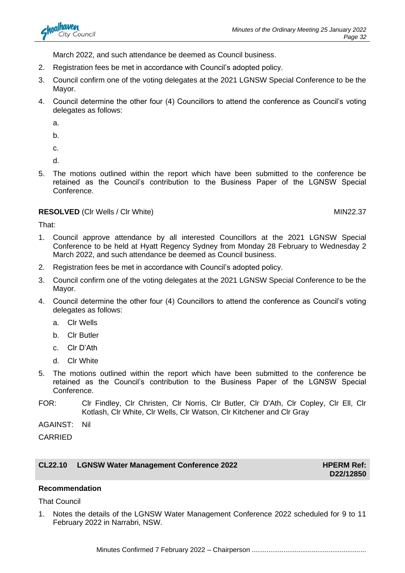

March 2022, and such attendance be deemed as Council business.

- 2. Registration fees be met in accordance with Council's adopted policy.
- 3. Council confirm one of the voting delegates at the 2021 LGNSW Special Conference to be the Mayor.
- 4. Council determine the other four (4) Councillors to attend the conference as Council's voting delegates as follows:
	- a.
	- b.
	- c.
	- d.
- 5. The motions outlined within the report which have been submitted to the conference be retained as the Council's contribution to the Business Paper of the LGNSW Special Conference.

#### **RESOLVED** (Clr Wells / Clr White) MIN22.37

That:

- 1. Council approve attendance by all interested Councillors at the 2021 LGNSW Special Conference to be held at Hyatt Regency Sydney from Monday 28 February to Wednesday 2 March 2022, and such attendance be deemed as Council business.
- 2. Registration fees be met in accordance with Council's adopted policy.
- 3. Council confirm one of the voting delegates at the 2021 LGNSW Special Conference to be the Mayor.
- 4. Council determine the other four (4) Councillors to attend the conference as Council's voting delegates as follows:
	- a. Clr Wells
	- b. Clr Butler
	- c. Clr D'Ath
	- d. Clr White
- 5. The motions outlined within the report which have been submitted to the conference be retained as the Council's contribution to the Business Paper of the LGNSW Special Conference.
- FOR: Clr Findley, Clr Christen, Clr Norris, Clr Butler, Clr D'Ath, Clr Copley, Clr Ell, Clr Kotlash, Clr White, Clr Wells, Clr Watson, Clr Kitchener and Clr Gray

AGAINST: Nil

CARRIED

### **CL22.10 LGNSW Water Management Conference 2022 HPERM Ref:**

**D22/12850**

#### **Recommendation**

That Council

1. Notes the details of the LGNSW Water Management Conference 2022 scheduled for 9 to 11 February 2022 in Narrabri, NSW.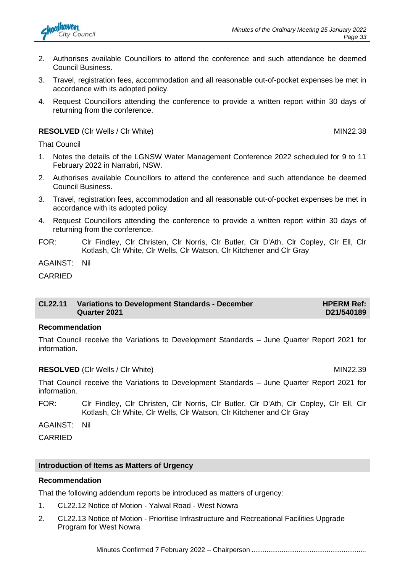

- 2. Authorises available Councillors to attend the conference and such attendance be deemed Council Business.
- 3. Travel, registration fees, accommodation and all reasonable out-of-pocket expenses be met in accordance with its adopted policy.
- 4. Request Councillors attending the conference to provide a written report within 30 days of returning from the conference.

**RESOLVED** (CIr Wells / CIr White) MIN22.38

That Council

- 1. Notes the details of the LGNSW Water Management Conference 2022 scheduled for 9 to 11 February 2022 in Narrabri, NSW.
- 2. Authorises available Councillors to attend the conference and such attendance be deemed Council Business.
- 3. Travel, registration fees, accommodation and all reasonable out-of-pocket expenses be met in accordance with its adopted policy.
- 4. Request Councillors attending the conference to provide a written report within 30 days of returning from the conference.
- FOR: Clr Findley, Clr Christen, Clr Norris, Clr Butler, Clr D'Ath, Clr Copley, Clr Ell, Clr Kotlash, Clr White, Clr Wells, Clr Watson, Clr Kitchener and Clr Gray

AGAINST: Nil

CARRIED

#### **CL22.11 Variations to Development Standards - December Quarter 2021 HPERM Ref: D21/540189**

#### **Recommendation**

That Council receive the Variations to Development Standards – June Quarter Report 2021 for information.

#### **RESOLVED** (CIr Wells / CIr White) MIN22.39

That Council receive the Variations to Development Standards – June Quarter Report 2021 for information.

FOR: Clr Findley, Clr Christen, Clr Norris, Clr Butler, Clr D'Ath, Clr Copley, Clr Ell, Clr Kotlash, Clr White, Clr Wells, Clr Watson, Clr Kitchener and Clr Gray

AGAINST: Nil

CARRIED

#### **Introduction of Items as Matters of Urgency**

#### **Recommendation**

That the following addendum reports be introduced as matters of urgency:

- 1. CL22.12 Notice of Motion Yalwal Road West Nowra
- 2. CL22.13 Notice of Motion Prioritise Infrastructure and Recreational Facilities Upgrade Program for West Nowra

Minutes Confirmed 7 February 2022 – Chairperson .............................................................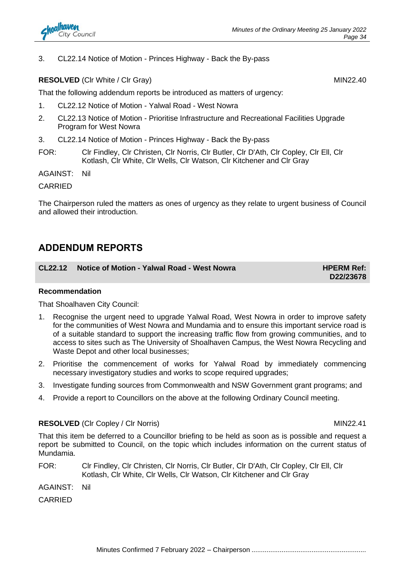3. CL22.14 Notice of Motion - Princes Highway - Back the By-pass

#### **RESOLVED** (CIr White / CIr Gray) MIN22.40

That the following addendum reports be introduced as matters of urgency:

- 1. CL22.12 Notice of Motion Yalwal Road West Nowra
- 2. CL22.13 Notice of Motion Prioritise Infrastructure and Recreational Facilities Upgrade Program for West Nowra
- 3. CL22.14 Notice of Motion Princes Highway Back the By-pass
- FOR: Clr Findley, Clr Christen, Clr Norris, Clr Butler, Clr D'Ath, Clr Copley, Clr Ell, Clr Kotlash, Clr White, Clr Wells, Clr Watson, Clr Kitchener and Clr Gray

AGAINST: Nil

CARRIED

The Chairperson ruled the matters as ones of urgency as they relate to urgent business of Council and allowed their introduction.

# **ADDENDUM REPORTS**

### **CL22.12** Notice of Motion - Yalwal Road - West Nowra<br>
HPERM Ref:

**D22/23678**

#### **Recommendation**

That Shoalhaven City Council:

- 1. Recognise the urgent need to upgrade Yalwal Road, West Nowra in order to improve safety for the communities of West Nowra and Mundamia and to ensure this important service road is of a suitable standard to support the increasing traffic flow from growing communities, and to access to sites such as The University of Shoalhaven Campus, the West Nowra Recycling and Waste Depot and other local businesses;
- 2. Prioritise the commencement of works for Yalwal Road by immediately commencing necessary investigatory studies and works to scope required upgrades;
- 3. Investigate funding sources from Commonwealth and NSW Government grant programs; and
- 4. Provide a report to Councillors on the above at the following Ordinary Council meeting.

#### **RESOLVED** (CIr Copley / CIr Norris) MIN22.41

That this item be deferred to a Councillor briefing to be held as soon as is possible and request a report be submitted to Council, on the topic which includes information on the current status of Mundamia.

FOR: Clr Findley, Clr Christen, Clr Norris, Clr Butler, Clr D'Ath, Clr Copley, Clr Ell, Clr Kotlash, Clr White, Clr Wells, Clr Watson, Clr Kitchener and Clr Gray

AGAINST: Nil

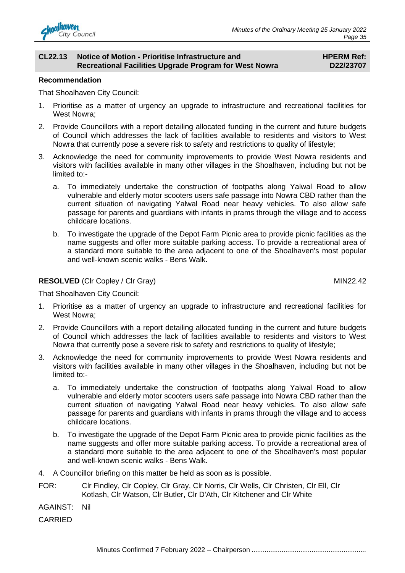

#### **CL22.13 Notice of Motion - Prioritise Infrastructure and Recreational Facilities Upgrade Program for West Nowra**

#### **HPERM Ref: D22/23707**

#### **Recommendation**

That Shoalhaven City Council:

- 1. Prioritise as a matter of urgency an upgrade to infrastructure and recreational facilities for West Nowra;
- 2. Provide Councillors with a report detailing allocated funding in the current and future budgets of Council which addresses the lack of facilities available to residents and visitors to West Nowra that currently pose a severe risk to safety and restrictions to quality of lifestyle;
- 3. Acknowledge the need for community improvements to provide West Nowra residents and visitors with facilities available in many other villages in the Shoalhaven, including but not be limited to:
	- a. To immediately undertake the construction of footpaths along Yalwal Road to allow vulnerable and elderly motor scooters users safe passage into Nowra CBD rather than the current situation of navigating Yalwal Road near heavy vehicles. To also allow safe passage for parents and guardians with infants in prams through the village and to access childcare locations.
	- b. To investigate the upgrade of the Depot Farm Picnic area to provide picnic facilities as the name suggests and offer more suitable parking access. To provide a recreational area of a standard more suitable to the area adjacent to one of the Shoalhaven's most popular and well-known scenic walks - Bens Walk.

#### **RESOLVED** (CIr Copley / CIr Gray) MIN22.42

That Shoalhaven City Council:

- 1. Prioritise as a matter of urgency an upgrade to infrastructure and recreational facilities for West Nowra;
- 2. Provide Councillors with a report detailing allocated funding in the current and future budgets of Council which addresses the lack of facilities available to residents and visitors to West Nowra that currently pose a severe risk to safety and restrictions to quality of lifestyle;
- 3. Acknowledge the need for community improvements to provide West Nowra residents and visitors with facilities available in many other villages in the Shoalhaven, including but not be limited to:
	- a. To immediately undertake the construction of footpaths along Yalwal Road to allow vulnerable and elderly motor scooters users safe passage into Nowra CBD rather than the current situation of navigating Yalwal Road near heavy vehicles. To also allow safe passage for parents and guardians with infants in prams through the village and to access childcare locations.
	- b. To investigate the upgrade of the Depot Farm Picnic area to provide picnic facilities as the name suggests and offer more suitable parking access. To provide a recreational area of a standard more suitable to the area adjacent to one of the Shoalhaven's most popular and well-known scenic walks - Bens Walk.
- 4. A Councillor briefing on this matter be held as soon as is possible.
- FOR: Clr Findley, Clr Copley, Clr Gray, Clr Norris, Clr Wells, Clr Christen, Clr Ell, Clr Kotlash, Clr Watson, Clr Butler, Clr D'Ath, Clr Kitchener and Clr White
- AGAINST: Nil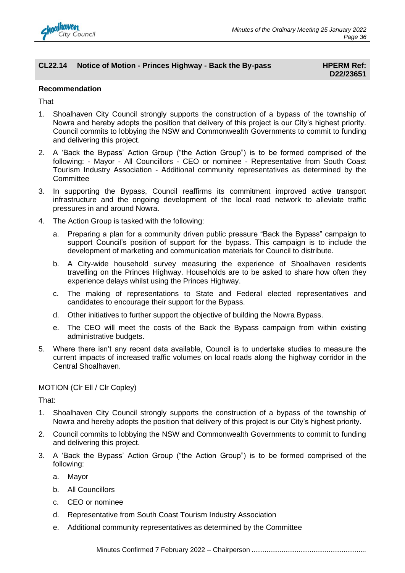

#### **CL22.14** Notice of Motion - Princes Highway - Back the By-pass **HPERM Ref:**

# **D22/23651**

#### **Recommendation**

#### **That**

- 1. Shoalhaven City Council strongly supports the construction of a bypass of the township of Nowra and hereby adopts the position that delivery of this project is our City's highest priority. Council commits to lobbying the NSW and Commonwealth Governments to commit to funding and delivering this project.
- 2. A 'Back the Bypass' Action Group ("the Action Group") is to be formed comprised of the following: - Mayor - All Councillors - CEO or nominee - Representative from South Coast Tourism Industry Association - Additional community representatives as determined by the **Committee**
- 3. In supporting the Bypass, Council reaffirms its commitment improved active transport infrastructure and the ongoing development of the local road network to alleviate traffic pressures in and around Nowra.
- 4. The Action Group is tasked with the following:
	- a. Preparing a plan for a community driven public pressure "Back the Bypass" campaign to support Council's position of support for the bypass. This campaign is to include the development of marketing and communication materials for Council to distribute.
	- b. A City-wide household survey measuring the experience of Shoalhaven residents travelling on the Princes Highway. Households are to be asked to share how often they experience delays whilst using the Princes Highway.
	- c. The making of representations to State and Federal elected representatives and candidates to encourage their support for the Bypass.
	- d. Other initiatives to further support the objective of building the Nowra Bypass.
	- e. The CEO will meet the costs of the Back the Bypass campaign from within existing administrative budgets.
- 5. Where there isn't any recent data available, Council is to undertake studies to measure the current impacts of increased traffic volumes on local roads along the highway corridor in the Central Shoalhaven.

#### MOTION (Clr Ell / Clr Copley)

That:

- 1. Shoalhaven City Council strongly supports the construction of a bypass of the township of Nowra and hereby adopts the position that delivery of this project is our City's highest priority.
- 2. Council commits to lobbying the NSW and Commonwealth Governments to commit to funding and delivering this project.
- 3. A 'Back the Bypass' Action Group ("the Action Group") is to be formed comprised of the following:
	- a. Mayor
	- b. All Councillors
	- c. CEO or nominee
	- d. Representative from South Coast Tourism Industry Association
	- e. Additional community representatives as determined by the Committee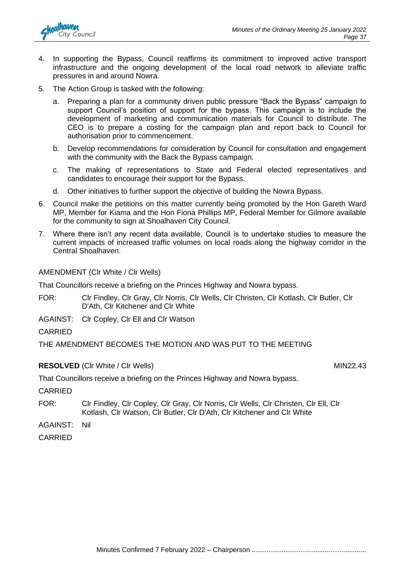

- 4. In supporting the Bypass, Council reaffirms its commitment to improved active transport infrastructure and the ongoing development of the local road network to alleviate traffic pressures in and around Nowra.
- 5. The Action Group is tasked with the following:
	- a. Preparing a plan for a community driven public pressure "Back the Bypass" campaign to support Council's position of support for the bypass. This campaign is to include the development of marketing and communication materials for Council to distribute. The CEO is to prepare a costing for the campaign plan and report back to Council for authorisation prior to commencement.
	- b. Develop recommendations for consideration by Council for consultation and engagement with the community with the Back the Bypass campaign.
	- c. The making of representations to State and Federal elected representatives and candidates to encourage their support for the Bypass.
	- d. Other initiatives to further support the objective of building the Nowra Bypass.
- 6. Council make the petitions on this matter currently being promoted by the Hon Gareth Ward MP, Member for Kiama and the Hon Fiona Phillips MP, Federal Member for Gilmore available for the community to sign at Shoalhaven City Council.
- 7. Where there isn't any recent data available, Council is to undertake studies to measure the current impacts of increased traffic volumes on local roads along the highway corridor in the Central Shoalhaven.

AMENDMENT (Clr White / Clr Wells)

That Councillors receive a briefing on the Princes Highway and Nowra bypass.

FOR: Clr Findley, Clr Gray, Clr Norris, Clr Wells, Clr Christen, Clr Kotlash, Clr Butler, Clr D'Ath, Clr Kitchener and Clr White

AGAINST: Clr Copley, Clr Ell and Clr Watson

CARRIED

THE AMENDMENT BECOMES THE MOTION AND WAS PUT TO THE MEETING

#### **RESOLVED** (CIr White / CIr Wells) MIN22.43

That Councillors receive a briefing on the Princes Highway and Nowra bypass.

**CARRIED** 

- FOR: Clr Findley, Clr Copley, Clr Gray, Clr Norris, Clr Wells, Clr Christen, Clr Ell, Clr Kotlash, Clr Watson, Clr Butler, Clr D'Ath, Clr Kitchener and Clr White
- AGAINST: Nil